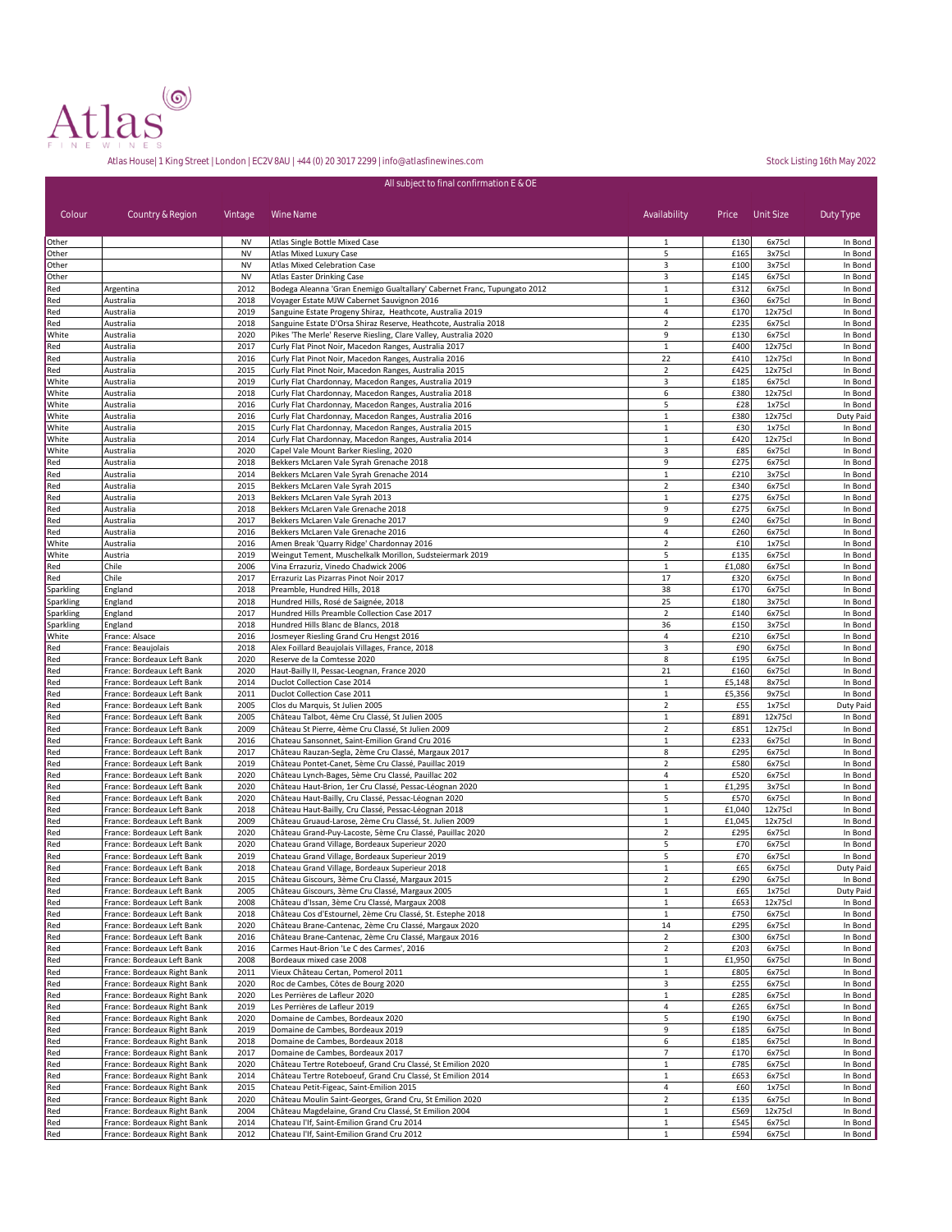

|                |                                                            |              | All subject to final confirmation E & OE                                                                          |                                         |                    |                     |                      |
|----------------|------------------------------------------------------------|--------------|-------------------------------------------------------------------------------------------------------------------|-----------------------------------------|--------------------|---------------------|----------------------|
| Colour         | Country & Region                                           | Vintage      | Wine Name                                                                                                         | Availability                            | Price              | Unit Size           | Duty Type            |
| Other          |                                                            | <b>NV</b>    | Atlas Single Bottle Mixed Case                                                                                    | $\mathbf{1}$                            | £130               | 6x75cl              | In Bond              |
| Other          |                                                            | <b>NV</b>    | Atlas Mixed Luxury Case                                                                                           | 5                                       | £165               | 3x75cl              | In Bond              |
| Other          |                                                            | <b>NV</b>    | <b>Atlas Mixed Celebration Case</b>                                                                               | 3                                       | £100               | 3x75cl              | In Bond              |
| Other          |                                                            | <b>NV</b>    | Atlas Easter Drinking Case                                                                                        | 3                                       | £145               | 6x75cl              | In Bond              |
| Red            | Argentina                                                  | 2012         | Bodega Aleanna 'Gran Enemigo Gualtallary' Cabernet Franc, Tupungato 2012                                          | $\mathbf{1}$                            | £312               | 6x75cl              | In Bond              |
| Red<br>Red     | Australia<br>Australia                                     | 2018<br>2019 | Voyager Estate MJW Cabernet Sauvignon 2016<br>Sanguine Estate Progeny Shiraz, Heathcote, Australia 2019           | $\,1\,$<br>4                            | £360<br>£170       | 6x75cl<br>12x75cl   | In Bond<br>In Bond   |
| Red            | Australia                                                  | 2018         | Sanguine Estate D'Orsa Shiraz Reserve, Heathcote, Australia 2018                                                  | $\mathbf 2$                             | £235               | 6x75cl              | In Bond              |
| White          | Australia                                                  | 2020         | Pikes 'The Merle' Reserve Riesling, Clare Valley, Australia 2020                                                  | 9                                       | £130               | 6x75cl              | In Bond              |
| Red            | Australia                                                  | 2017         | Curly Flat Pinot Noir, Macedon Ranges, Australia 2017                                                             | $\,1\,$                                 | £400               | 12x75cl             | In Bond              |
| Red            | Australia                                                  | 2016         | Curly Flat Pinot Noir, Macedon Ranges, Australia 2016                                                             | 22                                      | £410               | 12x75cl             | In Bond              |
| Red            | Australia                                                  | 2015         | Curly Flat Pinot Noir, Macedon Ranges, Australia 2015                                                             | $\overline{2}$                          | £425               | 12x75cl             | In Bond              |
| White          | Australia                                                  | 2019         | Curly Flat Chardonnay, Macedon Ranges, Australia 2019                                                             | 3                                       | £185               | 6x75cl              | In Bond              |
| White<br>White | Australia<br>Australia                                     | 2018<br>2016 | Curly Flat Chardonnay, Macedon Ranges, Australia 2018<br>Curly Flat Chardonnay, Macedon Ranges, Australia 2016    | 6<br>5                                  | £380<br>£28        | 12x75cl<br>1x75cl   | In Bond<br>In Bond   |
| White          | Australia                                                  | 2016         | Curly Flat Chardonnay, Macedon Ranges, Australia 2016                                                             | $\mathbf 1$                             | £380               | 12x75cl             | Duty Paid            |
| White          | Australia                                                  | 2015         | Curly Flat Chardonnay, Macedon Ranges, Australia 2015                                                             | $\mathbf 1$                             | £30                | 1x75cl              | In Bond              |
| White          | Australia                                                  | 2014         | Curly Flat Chardonnay, Macedon Ranges, Australia 2014                                                             | $\mathbf 1$                             | £420               | 12x75cl             | In Bond              |
| White          | Australia                                                  | 2020         | Capel Vale Mount Barker Riesling, 2020                                                                            | 3                                       | £85                | 6x75cl              | In Bond              |
| Red            | Australia                                                  | 2018         | Bekkers McLaren Vale Syrah Grenache 2018                                                                          | 9                                       | £275               | 6x75cl              | In Bond              |
| Red            | Australia                                                  | 2014         | Bekkers McLaren Vale Syrah Grenache 2014                                                                          | $\mathbf 1$                             | £210               | 3x75cl              | In Bond              |
| Red            | Australia                                                  | 2015         | Bekkers McLaren Vale Syrah 2015                                                                                   | $\overline{2}$                          | £340               | 6x75cl              | In Bond              |
| Red            | Australia                                                  | 2013         | Bekkers McLaren Vale Syrah 2013                                                                                   | $\,1\,$                                 | £275               | 6x75cl              | In Bond              |
| Red            | Australia                                                  | 2018         | Bekkers McLaren Vale Grenache 2018                                                                                | 9                                       | £275               | 6x75c               | In Bond              |
| Red<br>Red     | Australia<br>Australia                                     | 2017<br>2016 | Bekkers McLaren Vale Grenache 2017<br>Bekkers McLaren Vale Grenache 2016                                          | 9<br>4                                  | £240<br>£260       | 6x75cl<br>6x75c     | In Bond<br>In Bond   |
| White          | Australia                                                  | 2016         | Amen Break 'Quarry Ridge' Chardonnay 2016                                                                         | $\overline{2}$                          | £10                | 1x75cl              | In Bond              |
| White          | Austria                                                    | 2019         | Weingut Tement, Muschelkalk Morillon, Sudsteiermark 2019                                                          | 5                                       | £135               | 6x75c               | In Bond              |
| Red            | Chile                                                      | 2006         | Vina Errazuriz, Vinedo Chadwick 2006                                                                              | $\mathbf 1$                             | £1,080             | 6x75cl              | In Bond              |
| Red            | Chile                                                      | 2017         | Errazuriz Las Pizarras Pinot Noir 2017                                                                            | 17                                      | £320               | 6x75c               | In Bond              |
| Sparkling      | England                                                    | 2018         | Preamble, Hundred Hills, 2018                                                                                     | 38                                      | £170               | 6x75c               | In Bond              |
| Sparkling      | England                                                    | 2018         | Hundred Hills, Rosé de Saignée, 2018                                                                              | 25                                      | £180               | 3x75cl              | In Bond              |
| Sparkling      | England                                                    | 2017         | Hundred Hills Preamble Collection Case 2017                                                                       | $\mathbf 2$                             | £140               | 6x75c               | In Bond              |
| Sparkling      | England                                                    | 2018         | Hundred Hills Blanc de Blancs, 2018                                                                               | 36                                      | £150               | 3x75cl              | In Bond              |
| White          | France: Alsace                                             | 2016<br>2018 | Josmeyer Riesling Grand Cru Hengst 2016                                                                           | 4<br>3                                  | £210<br>£90        | 6x75c               | In Bond              |
| Red<br>Red     | France: Beaujolais<br>France: Bordeaux Left Bank           | 2020         | Alex Foillard Beaujolais Villages, France, 2018<br>Reserve de la Comtesse 2020                                    | 8                                       | £195               | 6x75c<br>6x75c      | In Bond<br>In Bond   |
| Red            | France: Bordeaux Left Bank                                 | 2020         | Haut-Bailly II, Pessac-Leognan, France 2020                                                                       | 21                                      | £160               | 6x75c               | In Bond              |
| Red            | France: Bordeaux Left Bank                                 | 2014         | Duclot Collection Case 2014                                                                                       | $\mathbf 1$                             | £5,148             | 8x75c               | In Bond              |
| Red            | France: Bordeaux Left Bank                                 | 2011         | Duclot Collection Case 2011                                                                                       | $1\,$                                   | £5,356             | 9x75cl              | In Bond              |
| Red            | France: Bordeaux Left Bank                                 | 2005         | Clos du Marquis, St Julien 2005                                                                                   | $\overline{2}$                          | £55                | 1x75cl              | Duty Paid            |
| Red            | France: Bordeaux Left Bank                                 | 2005         | Château Talbot, 4ème Cru Classé, St Julien 2005                                                                   | $\mathbf 1$                             | £891               | 12x75cl             | In Bond              |
| Red            | France: Bordeaux Left Bank                                 | 2009         | Château St Pierre, 4ème Cru Classé, St Julien 2009                                                                | $\overline{2}$                          | £851               | 12x75cl             | In Bond              |
| Red            | France: Bordeaux Left Bank                                 | 2016         | Chateau Sansonnet, Saint-Emilion Grand Cru 2016                                                                   | $1\,$                                   | £233               | 6x75cl              | In Bond              |
| Red<br>Red     | France: Bordeaux Left Bank<br>France: Bordeaux Left Bank   | 2017<br>2019 | Château Rauzan-Segla, 2ème Cru Classé, Margaux 2017<br>Château Pontet-Canet, 5ème Cru Classé, Pauillac 2019       | 8<br>$\overline{2}$                     | £295<br>£580       | 6x75cl<br>6x75cl    | In Bond<br>In Bond   |
| Red            | France: Bordeaux Left Bank                                 | 2020         | Château Lynch-Bages, 5ème Cru Classé, Pauillac 202                                                                | $\overline{4}$                          | £520               | 6x75cl              | In Bond              |
| Red            | France: Bordeaux Left Bank                                 | 2020         | Château Haut-Brion, 1er Cru Classé, Pessac-Léognan 2020                                                           | $\mathbf 1$                             | £1,295             | 3x75cl              | In Bond              |
| Red            | France: Bordeaux Left Bank                                 | 2020         | Château Haut-Bailly, Cru Classé, Pessac-Léognan 2020                                                              | 5                                       | £570               | 6x75cl              | In Bond              |
| Red            | France: Bordeaux Left Bank                                 | 2018         | Château Haut-Bailly, Cru Classé, Pessac-Léognan 2018                                                              | $\mathbf{1}$                            | £1,040             | 12x75cl             | In Bond              |
| Red            | France: Bordeaux Left Bank                                 | 2009         | Château Gruaud-Larose, 2ème Cru Classé, St. Julien 2009                                                           | $\mathbf{1}$                            | £1,045             | 12x75cl             | In Bond              |
| Red            | France: Bordeaux Left Bank                                 | 2020         | Château Grand-Puy-Lacoste, 5ème Cru Classé, Pauillac 2020                                                         | $\overline{2}$                          | £295               | 6x75cl              | In Bond              |
| Red            | France: Bordeaux Left Bank                                 | 2020         | Chateau Grand Village, Bordeaux Superieur 2020                                                                    | 5                                       | £70                | 6x75c               | In Bond              |
| Red            | France: Bordeaux Left Bank                                 | 2019         | Chateau Grand Village, Bordeaux Superieur 2019                                                                    | 5                                       | £70                | 6x75cl              | In Bond              |
| Red<br>Red     | France: Bordeaux Left Bank<br>France: Bordeaux Left Bank   | 2018<br>2015 | Chateau Grand Village, Bordeaux Superieur 2018                                                                    | $\mathbf{1}$<br>$\overline{\mathbf{r}}$ | £65<br><b>£290</b> | 6x75cl              | Duty Paid<br>in Bona |
| Red            | France: Bordeaux Left Bank                                 | 2005         | Chateau Giscours, 3eme Cru Classe, Margaux 2015<br>Château Giscours, 3ème Cru Classé, Margaux 2005                | $\mathbf{1}$                            | £65                | <b>PX</b><br>1x75cl | Duty Paid            |
| Red            | France: Bordeaux Left Bank                                 | 2008         | Château d'Issan, 3ème Cru Classé, Margaux 2008                                                                    | $\mathbf{1}$                            | £653               | 12x75cl             | In Bond              |
| Red            | France: Bordeaux Left Bank                                 | 2018         | Château Cos d'Estournel, 2ème Cru Classé, St. Estephe 2018                                                        | $\mathbf{1}$                            | £750               | 6x75cl              | In Bond              |
| Red            | France: Bordeaux Left Bank                                 | 2020         | Château Brane-Cantenac, 2ème Cru Classé, Margaux 2020                                                             | 14                                      | £295               | 6x75cl              | In Bond              |
| Red            | France: Bordeaux Left Bank                                 | 2016         | Château Brane-Cantenac, 2ème Cru Classé, Margaux 2016                                                             | $\overline{2}$                          | £300               | 6x75cl              | In Bond              |
| Red            | France: Bordeaux Left Bank                                 | 2016         | Carmes Haut-Brion 'Le C des Carmes', 2016                                                                         | $\overline{2}$                          | £203               | 6x75cl              | In Bond              |
| Red            | France: Bordeaux Left Bank                                 | 2008         | Bordeaux mixed case 2008                                                                                          | $\mathbf{1}$                            | £1,950             | 6x75cl              | In Bond              |
| Red            | France: Bordeaux Right Bank<br>France: Bordeaux Right Bank | 2011         | Vieux Château Certan, Pomerol 2011                                                                                | $\mathbf{1}$                            | £805<br>£255       | 6x75cl              | In Bond<br>In Bond   |
| Red<br>Red     | France: Bordeaux Right Bank                                | 2020<br>2020 | Roc de Cambes, Côtes de Bourg 2020<br>Les Perrières de Lafleur 2020                                               | 3<br>$\mathbf 1$                        | £285               | 6x75cl<br>6x75cl    | In Bond              |
| Red            | France: Bordeaux Right Bank                                | 2019         | Les Perrières de Lafleur 2019                                                                                     | 4                                       | £265               | 6x75cl              | In Bond              |
| Red            | France: Bordeaux Right Bank                                | 2020         | Domaine de Cambes, Bordeaux 2020                                                                                  | 5                                       | £190               | 6x75cl              | In Bond              |
| Red            | France: Bordeaux Right Bank                                | 2019         | Domaine de Cambes, Bordeaux 2019                                                                                  | 9                                       | £185               | 6x75cl              | In Bond              |
| Red            | France: Bordeaux Right Bank                                | 2018         | Domaine de Cambes, Bordeaux 2018                                                                                  | 6                                       | £185               | 6x75cl              | In Bond              |
| Red            | France: Bordeaux Right Bank                                | 2017         | Domaine de Cambes, Bordeaux 2017                                                                                  | $\overline{7}$                          | £170               | 6x75cl              | In Bond              |
| Red            | France: Bordeaux Right Bank                                | 2020         | Château Tertre Roteboeuf, Grand Cru Classé, St Emilion 2020                                                       | $\mathbf{1}$                            | £785               | 6x75cl              | In Bond              |
| Red            | France: Bordeaux Right Bank                                | 2014         | Château Tertre Roteboeuf, Grand Cru Classé, St Emilion 2014                                                       | $\mathbf{1}$                            | £653               | 6x75cl              | In Bond              |
| Red            | France: Bordeaux Right Bank                                | 2015         | Chateau Petit-Figeac, Saint-Emilion 2015                                                                          | 4                                       | £60                | 1x75cl              | In Bond              |
| Red<br>Red     | France: Bordeaux Right Bank<br>France: Bordeaux Right Bank | 2020<br>2004 | Château Moulin Saint-Georges, Grand Cru, St Emilion 2020<br>Château Magdelaine, Grand Cru Classé, St Emilion 2004 | $\overline{2}$<br>$\mathbf{1}$          | £135<br>£569       | 6x75cl<br>12x75cl   | In Bond<br>In Bond   |
| Red            | France: Bordeaux Right Bank                                | 2014         | Chateau I'If, Saint-Emilion Grand Cru 2014                                                                        | $\mathbf{1}$                            | £545               | 6x75cl              | In Bond              |
| Red            | France: Bordeaux Right Bank                                | 2012         | Chateau I'lf, Saint-Emilion Grand Cru 2012                                                                        | $\mathbf{1}$                            | £594               | 6x75c               | In Bond              |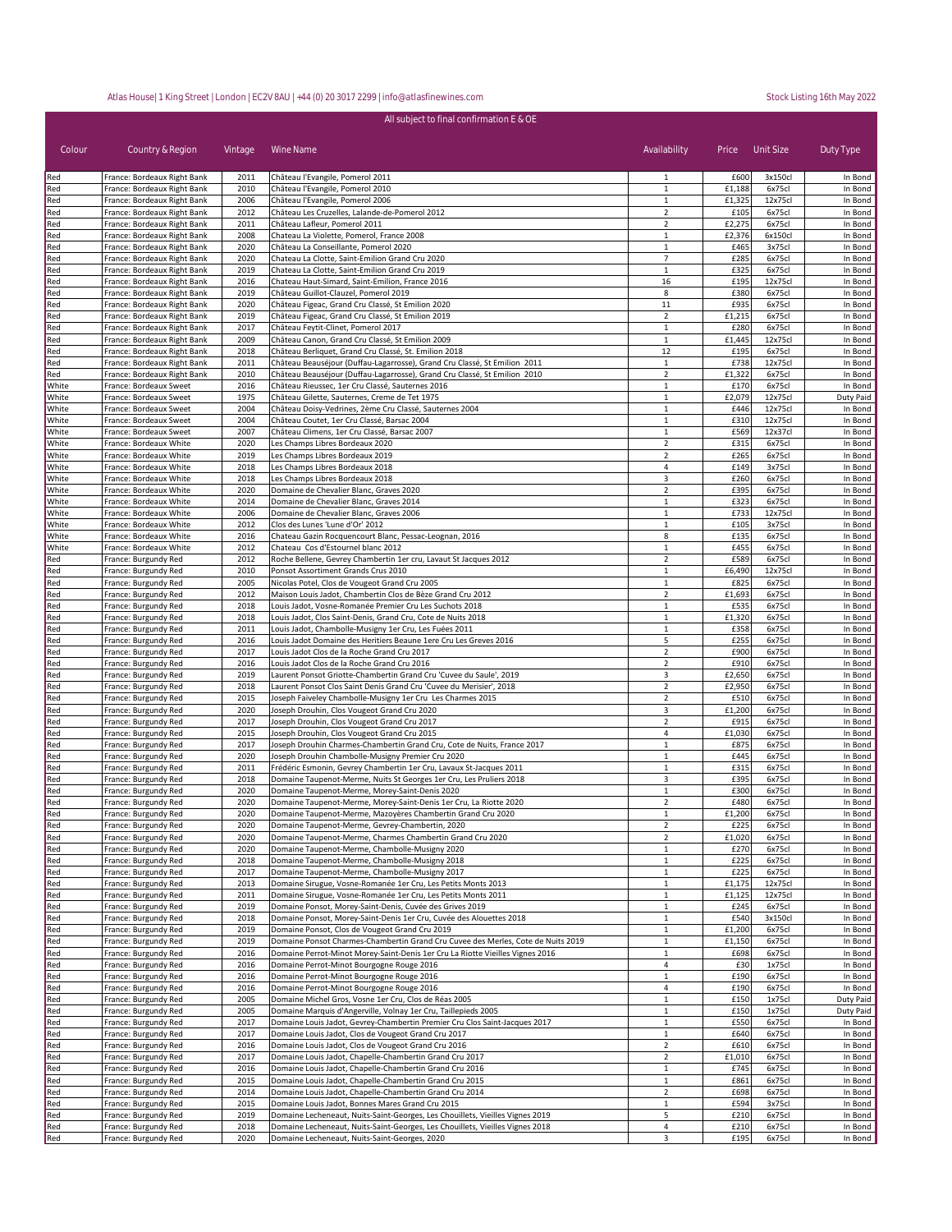| All subject to final confirmation E & OE |                                                            |              |                                                                                                                                            |                                |                  |                   |                      |
|------------------------------------------|------------------------------------------------------------|--------------|--------------------------------------------------------------------------------------------------------------------------------------------|--------------------------------|------------------|-------------------|----------------------|
| Colour                                   | Country & Region                                           | Vintage      | Wine Name                                                                                                                                  | Availability                   | Price            | Unit Size         | Duty Type            |
| Red                                      | France: Bordeaux Right Bank                                | 2011         | Château l'Evangile, Pomerol 2011                                                                                                           | 1                              | £600             | 3x150cl           | In Bond              |
| Red                                      | France: Bordeaux Right Bank                                | 2010         | Château l'Evangile, Pomerol 2010                                                                                                           | 1                              | £1,188           | 6x75cl            | In Bond              |
| Red                                      | France: Bordeaux Right Bank                                | 2006         | Château l'Evangile, Pomerol 2006                                                                                                           | $\mathbf 1$                    | £1,325           | 12x75cl           | In Bond              |
| Red                                      | France: Bordeaux Right Bank                                | 2012         | Château Les Cruzelles, Lalande-de-Pomerol 2012                                                                                             | $\overline{2}$                 | £105             | 6x75cl            | In Bond              |
| Red                                      | France: Bordeaux Right Bank                                | 2011<br>2008 | Château Lafleur, Pomerol 2011                                                                                                              | $\overline{2}$                 | £2,275<br>£2,376 | 6x75cl<br>6x150cl | In Bond              |
| Red<br>Red                               | France: Bordeaux Right Bank<br>France: Bordeaux Right Bank | 2020         | Chateau La Violette, Pomerol, France 2008<br>Château La Conseillante, Pomerol 2020                                                         | $\mathbf{1}$<br>$\mathbf{1}$   | £465             | 3x75cl            | In Bond<br>In Bond   |
| Red                                      | France: Bordeaux Right Bank                                | 2020         | Chateau La Clotte, Saint-Emilion Grand Cru 2020                                                                                            | $\overline{7}$                 | £285             | 6x75cl            | In Bond              |
| Red                                      | France: Bordeaux Right Bank                                | 2019         | Chateau La Clotte, Saint-Emilion Grand Cru 2019                                                                                            | $\mathbf{1}$                   | £325             | 6x75cl            | In Bond              |
| Red                                      | France: Bordeaux Right Bank                                | 2016         | Chateau Haut-Simard, Saint-Emilion, France 2016                                                                                            | 16                             | £195             | 12x75cl           | In Bond              |
| Red                                      | France: Bordeaux Right Bank                                | 2019         | Château Guillot-Clauzel, Pomerol 2019                                                                                                      | 8                              | £380             | 6x75cl            | In Bond              |
| Red                                      | France: Bordeaux Right Bank                                | 2020         | Château Figeac, Grand Cru Classé, St Emilion 2020                                                                                          | 11                             | £935             | 6x75cl            | In Bond              |
| Red                                      | France: Bordeaux Right Bank                                | 2019         | Château Figeac, Grand Cru Classé, St Emilion 2019                                                                                          | $\overline{2}$                 | £1,215           | 6x75cl            | In Bond              |
| Red<br>Red                               | France: Bordeaux Right Bank<br>France: Bordeaux Right Bank | 2017<br>2009 | Château Feytit-Clinet, Pomerol 2017<br>Château Canon, Grand Cru Classé, St Emilion 2009                                                    | $\mathbf{1}$<br>$\mathbf{1}$   | £280<br>£1,445   | 6x75cl<br>12x75cl | In Bond<br>In Bond   |
| Red                                      | France: Bordeaux Right Bank                                | 2018         | Château Berliquet, Grand Cru Classé, St. Emilion 2018                                                                                      | 12                             | £195             | 6x75cl            | In Bond              |
| Red                                      | France: Bordeaux Right Bank                                | 2011         | Château Beauséjour (Duffau-Lagarrosse), Grand Cru Classé, St Emilion 2011                                                                  | $\mathbf{1}$                   | £738             | 12x75cl           | In Bond              |
| Red                                      | France: Bordeaux Right Bank                                | 2010         | Château Beauséjour (Duffau-Lagarrosse), Grand Cru Classé, St Emilion 2010                                                                  | $\overline{2}$                 | £1,322           | 6x75cl            | In Bond              |
| White                                    | France: Bordeaux Sweet                                     | 2016         | Château Rieussec, 1er Cru Classé, Sauternes 2016                                                                                           | $\mathbf{1}$                   | £170             | 6x75cl            | In Bond              |
| White                                    | France: Bordeaux Sweet                                     | 1975         | Château Gilette, Sauternes, Creme de Tet 1975                                                                                              | $\mathbf{1}$                   | £2,079           | 12x75cl           | Duty Paid            |
| White                                    | France: Bordeaux Sweet                                     | 2004         | Château Doisy-Vedrines, 2ème Cru Classé, Sauternes 2004                                                                                    | $\mathbf{1}$                   | £446             | 12x75cl           | In Bond              |
| White                                    | France: Bordeaux Sweet                                     | 2004         | Château Coutet, 1er Cru Classé, Barsac 2004                                                                                                | $\mathbf 1$                    | £310             | 12x75cl           | In Bond              |
| White                                    | France: Bordeaux Sweet<br>France: Bordeaux White           | 2007<br>2020 | Château Climens, 1er Cru Classé, Barsac 2007                                                                                               | $\mathbf{1}$<br>$\overline{2}$ | £569             | 12x37cl           | In Bond              |
| White<br>White                           | France: Bordeaux White                                     | 2019         | Les Champs Libres Bordeaux 2020<br>Les Champs Libres Bordeaux 2019                                                                         | $\overline{2}$                 | £315<br>£265     | 6x75cl<br>6x75cl  | In Bond<br>In Bond   |
| White                                    | France: Bordeaux White                                     | 2018         | Les Champs Libres Bordeaux 2018                                                                                                            | 4                              | £149             | 3x75cl            | In Bond              |
| White                                    | France: Bordeaux White                                     | 2018         | Les Champs Libres Bordeaux 2018                                                                                                            | 3                              | £260             | 6x75cl            | In Bond              |
| White                                    | France: Bordeaux White                                     | 2020         | Domaine de Chevalier Blanc, Graves 2020                                                                                                    | $\overline{2}$                 | £395             | 6x75cl            | In Bond              |
| White                                    | France: Bordeaux White                                     | 2014         | Domaine de Chevalier Blanc, Graves 2014                                                                                                    | 1                              | £323             | 6x75cl            | In Bond              |
| White                                    | France: Bordeaux White                                     | 2006         | Domaine de Chevalier Blanc, Graves 2006                                                                                                    | $\,1\,$                        | £733             | 12x75cl           | In Bond              |
| White                                    | France: Bordeaux White                                     | 2012         | Clos des Lunes 'Lune d'Or' 2012                                                                                                            | $\mathbf{1}$                   | £105             | 3x75cl            | In Bond              |
| White                                    | France: Bordeaux White                                     | 2016         | Chateau Gazin Rocquencourt Blanc, Pessac-Leognan, 2016                                                                                     | 8                              | £135             | 6x75cl            | In Bond              |
| White                                    | France: Bordeaux White                                     | 2012         | Chateau Cos d'Estournel blanc 2012                                                                                                         | $\mathbf{1}$<br>$\overline{2}$ | £455<br>£589     | 6x75cl            | In Bond              |
| Red<br>Red                               | France: Burgundy Red<br>France: Burgundy Red               | 2012<br>2010 | Roche Bellene, Gevrey Chambertin 1er cru, Lavaut St Jacques 2012<br>Ponsot Assortiment Grands Crus 2010                                    | $\mathbf{1}$                   | £6,490           | 6x75cl<br>12x75cl | In Bond<br>In Bond   |
| Red                                      | France: Burgundy Red                                       | 2005         | Nicolas Potel, Clos de Vougeot Grand Cru 2005                                                                                              | $\mathbf{1}$                   | £825             | 6x75cl            | In Bond              |
| Red                                      | France: Burgundy Red                                       | 2012         | Maison Louis Jadot, Chambertin Clos de Bèze Grand Cru 2012                                                                                 | $\overline{2}$                 | £1,693           | 6x75cl            | In Bond              |
| Red                                      | France: Burgundy Red                                       | 2018         | Louis Jadot, Vosne-Romanée Premier Cru Les Suchots 2018                                                                                    | $\mathbf{1}$                   | £535             | 6x75cl            | In Bond              |
| Red                                      | France: Burgundy Red                                       | 2018         | Louis Jadot, Clos Saint-Denis, Grand Cru, Cote de Nuits 2018                                                                               | $\mathbf{1}$                   | £1,320           | 6x75cl            | In Bond              |
| Red                                      | France: Burgundy Red                                       | 2011         | Louis Jadot, Chambolle-Musigny 1er Cru, Les Fuées 2011                                                                                     | $\mathbf{1}$                   | £358             | 6x75cl            | In Bond              |
| Red                                      | France: Burgundy Red                                       | 2016         | Louis Jadot Domaine des Heritiers Beaune 1ere Cru Les Greves 2016                                                                          | 5                              | £255             | 6x75cl            | In Bond              |
| Red                                      | France: Burgundy Red                                       | 2017         | Louis Jadot Clos de la Roche Grand Cru 2017                                                                                                | $\overline{2}$                 | £900             | 6x75cl            | In Bond              |
| Red                                      | France: Burgundy Red                                       | 2016         | Louis Jadot Clos de la Roche Grand Cru 2016                                                                                                | $\overline{2}$                 | £910             | 6x75cl            | In Bond              |
| Red<br>Red                               | France: Burgundy Red<br>France: Burgundy Red               | 2019<br>2018 | Laurent Ponsot Griotte-Chambertin Grand Cru 'Cuvee du Saule', 2019<br>Laurent Ponsot Clos Saint Denis Grand Cru 'Cuvee du Merisier', 2018  | 3<br>$\overline{2}$            | £2,650<br>£2,950 | 6x75cl<br>6x75cl  | In Bond<br>In Bond   |
| Red                                      | France: Burgundy Red                                       | 2015         | Joseph Faiveley Chambolle-Musigny 1er Cru Les Charmes 2015                                                                                 | $\overline{2}$                 | £510             | 6x75cl            | In Bond              |
| Red                                      | France: Burgundy Red                                       | 2020         | Joseph Drouhin, Clos Vougeot Grand Cru 2020                                                                                                | 3                              | £1,200           | 6x75cl            | In Bond              |
| Red                                      | France: Burgundy Red                                       | 2017         | Joseph Drouhin, Clos Vougeot Grand Cru 2017                                                                                                | $\overline{2}$                 | £915             | 6x75cl            | In Bond              |
| Red                                      | France: Burgundy Red                                       | 2015         | Joseph Drouhin, Clos Vougeot Grand Cru 2015                                                                                                | $\overline{4}$                 | £1,030           | 6x75cl            | In Bond              |
| Red                                      | France: Burgundy Red                                       | 2017         | Joseph Drouhin Charmes-Chambertin Grand Cru, Cote de Nuits, France 2017                                                                    | $\mathbf{1}$                   | £875             | 6x75cl            | In Bond              |
| Red                                      | France: Burgundy Red                                       | 2020         | Joseph Drouhin Chambolle-Musigny Premier Cru 2020                                                                                          | $\mathbf{1}$                   | £445             | 6x75cl            | In Bond              |
| Red<br>Red                               | France: Burgundy Red<br>France: Burgundy Red               | 2011<br>2018 | Frédéric Esmonin, Gevrey Chambertin 1er Cru, Lavaux St-Jacques 2011<br>Domaine Taupenot-Merme, Nuits St Georges 1er Cru, Les Pruliers 2018 | 1<br>3                         | £315<br>£395     | 6x75cl<br>6x75cl  | In Bond<br>In Bond   |
| Red                                      | France: Burgundy Red                                       | 2020         | Domaine Taupenot-Merme, Morey-Saint-Denis 2020                                                                                             | 1                              | £300             | 6x75cl            | In Bond              |
| Red                                      | France: Burgundy Red                                       | 2020         | Domaine Taupenot-Merme, Morey-Saint-Denis 1er Cru, La Riotte 2020                                                                          | $\overline{2}$                 | £480             | 6x75cl            | In Bond              |
| Red                                      | France: Burgundy Red                                       | 2020         | Domaine Taupenot-Merme, Mazoyères Chambertin Grand Cru 2020                                                                                | 1                              | £1,200           | 6x75cl            | In Bond              |
| Red                                      | France: Burgundy Red                                       | 2020         | Domaine Taupenot-Merme, Gevrey-Chambertin, 2020                                                                                            | $\overline{2}$                 | £225             | 6x75cl            | In Bond              |
| Red                                      | France: Burgundy Red                                       | 2020         | Domaine Taupenot-Merme, Charmes Chambertin Grand Cru 2020                                                                                  | $\overline{2}$                 | £1,020           | 6x75cl            | In Bond              |
| Red                                      | France: Burgundy Red                                       | 2020         | Domaine Taupenot-Merme, Chambolle-Musigny 2020                                                                                             | $\mathbf{1}$                   | £270             | 6x75cl            | In Bond              |
| Red                                      | France: Burgundy Red                                       | 2018         | Domaine Taupenot-Merme, Chambolle-Musigny 2018                                                                                             | $\mathbf{1}$                   | £225             | 6x75cl            | In Bond              |
| Red<br>Red                               | France: Burgundy Red<br>France: Burgundy Red               | 2017<br>2013 | Domaine Taupenot-Merme, Chambolle-Musigny 2017<br>Domaine Sirugue, Vosne-Romanée 1er Cru, Les Petits Monts 2013                            | $\mathbf{1}$<br>$\mathbf{1}$   | £225<br>£1,175   | 6x75cl<br>12x75cl | In Bond<br>In Bond   |
| Red                                      | France: Burgundy Red                                       | 2011         | Domaine Sirugue, Vosne-Romanée 1er Cru, Les Petits Monts 2011                                                                              | $\mathbf{1}$                   | £1,125           | 12x75cl           | In Bond              |
| Red                                      | France: Burgundy Red                                       | 2019         | Domaine Ponsot, Morey-Saint-Denis, Cuvée des Grives 2019                                                                                   | $\mathbf{1}$                   | £245             | 6x75cl            | In Bond              |
| Red                                      | France: Burgundy Red                                       | 2018         | Domaine Ponsot, Morey-Saint-Denis 1er Cru, Cuvée des Alouettes 2018                                                                        | $\mathbf{1}$                   | £540             | 3x150cl           | In Bond              |
| Red                                      | France: Burgundy Red                                       | 2019         | Domaine Ponsot, Clos de Vougeot Grand Cru 2019                                                                                             | $\mathbf{1}$                   | £1,200           | 6x75cl            | In Bond              |
| Red                                      | France: Burgundy Red                                       | 2019         | Domaine Ponsot Charmes-Chambertin Grand Cru Cuvee des Merles, Cote de Nuits 2019                                                           | $\mathbf{1}$                   | £1,150           | 6x75cl            | In Bond              |
| Red                                      | France: Burgundy Red                                       | 2016         | Domaine Perrot-Minot Morey-Saint-Denis 1er Cru La Riotte Vieilles Vignes 2016                                                              | $\mathbf{1}$                   | £698             | 6x75cl            | In Bond              |
| Red                                      | France: Burgundy Red                                       | 2016         | Domaine Perrot-Minot Bourgogne Rouge 2016                                                                                                  | 4                              | £30              | 1x75cl            | In Bond              |
| Red                                      | France: Burgundy Red                                       | 2016         | Domaine Perrot-Minot Bourgogne Rouge 2016                                                                                                  | $\mathbf{1}$                   | £190             | 6x75cl            | In Bond              |
| Red<br>Red                               | France: Burgundy Red<br>France: Burgundy Red               | 2016<br>2005 | Domaine Perrot-Minot Bourgogne Rouge 2016<br>Domaine Michel Gros, Vosne 1er Cru, Clos de Réas 2005                                         | 4<br>$\mathbf{1}$              | £190<br>£150     | 6x75cl<br>1x75cl  | In Bond<br>Duty Paid |
| Red                                      | France: Burgundy Red                                       | 2005         | Domaine Marquis d'Angerville, Volnay 1er Cru, Taillepieds 2005                                                                             | $\mathbf{1}$                   | £150             | 1x75cl            | Duty Paid            |
| Red                                      | France: Burgundy Red                                       | 2017         | Domaine Louis Jadot, Gevrey-Chambertin Premier Cru Clos Saint-Jacques 2017                                                                 | $\mathbf{1}$                   | £550             | 6x75cl            | In Bond              |
| Red                                      | France: Burgundy Red                                       | 2017         | Domaine Louis Jadot, Clos de Vougeot Grand Cru 2017                                                                                        | $\mathbf{1}$                   | £640             | 6x75cl            | In Bond              |
| Red                                      | France: Burgundy Red                                       | 2016         | Domaine Louis Jadot, Clos de Vougeot Grand Cru 2016                                                                                        | $\overline{2}$                 | £610             | 6x75cl            | In Bond              |
| Red                                      | France: Burgundy Red                                       | 2017         | Domaine Louis Jadot, Chapelle-Chambertin Grand Cru 2017                                                                                    | $\overline{2}$                 | £1,010           | 6x75cl            | In Bond              |
| Red                                      | France: Burgundy Red                                       | 2016         | Domaine Louis Jadot, Chapelle-Chambertin Grand Cru 2016                                                                                    | $\mathbf{1}$                   | £745             | 6x75cl            | In Bond              |
| Red                                      | France: Burgundy Red                                       | 2015         | Domaine Louis Jadot, Chapelle-Chambertin Grand Cru 2015                                                                                    | $\mathbf 1$                    | £861             | 6x75cl            | In Bond              |
| Red                                      | France: Burgundy Red                                       | 2014         | Domaine Louis Jadot, Chapelle-Chambertin Grand Cru 2014                                                                                    | $\overline{2}$                 | £698<br>£594     | 6x75cl            | In Bond              |
| Red<br>Red                               | France: Burgundy Red<br>France: Burgundy Red               | 2015<br>2019 | Domaine Louis Jadot, Bonnes Mares Grand Cru 2015<br>Domaine Lecheneaut, Nuits-Saint-Georges, Les Chouillets, Vieilles Vignes 2019          | 1<br>5                         | £210             | 3x75cl<br>6x75cl  | In Bond<br>In Bond   |
| Red                                      | France: Burgundy Red                                       | 2018         | Domaine Lecheneaut, Nuits-Saint-Georges, Les Chouillets, Vieilles Vignes 2018                                                              | $\overline{a}$                 | £210             | 6x75cl            | In Bond              |
| Red                                      | France: Burgundy Red                                       | 2020         | Domaine Lecheneaut, Nuits-Saint-Georges, 2020                                                                                              | 3                              | £195             | 6x75cl            | In Bond              |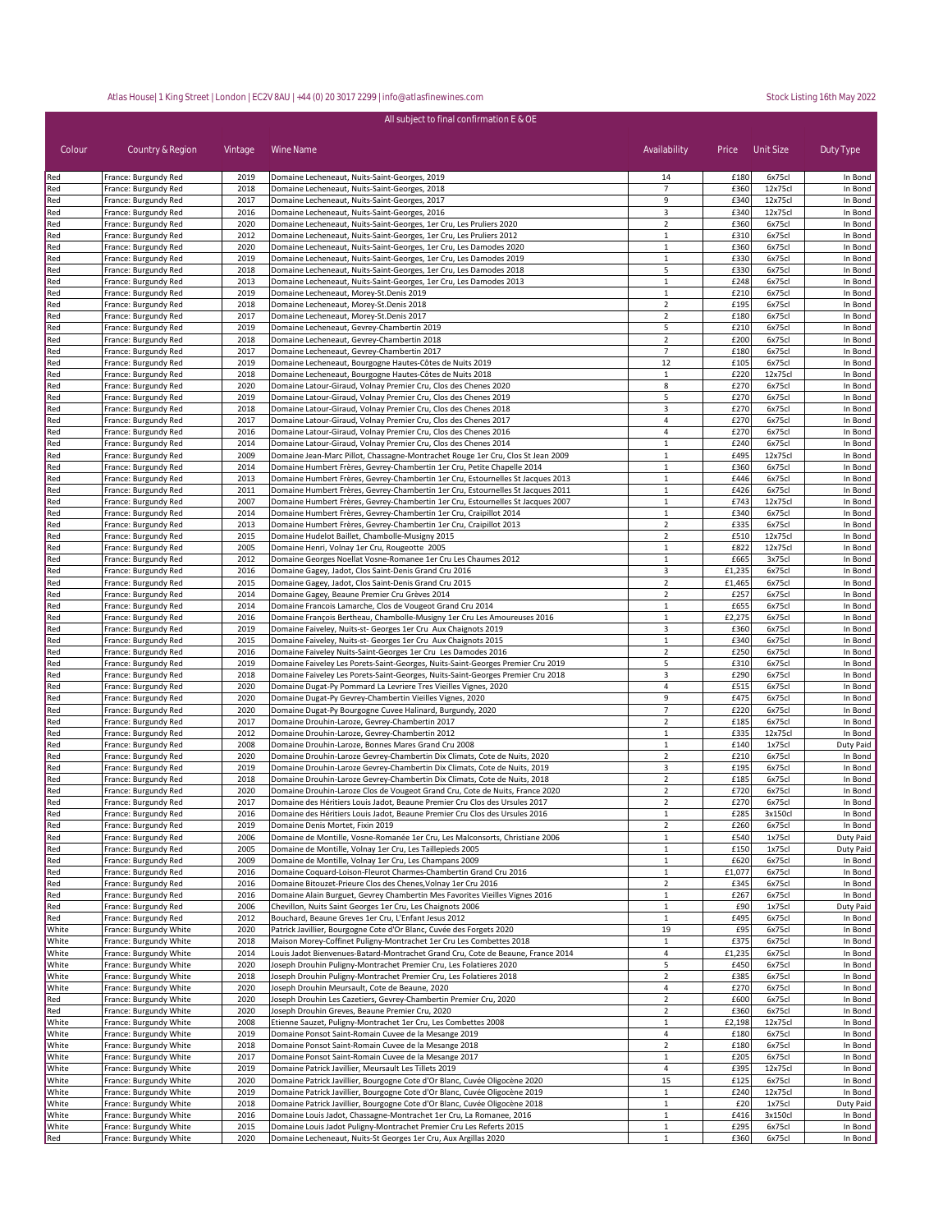| All subject to final confirmation E & OE |                                                  |              |                                                                                                                                                            |                                  |                 |                    |                      |
|------------------------------------------|--------------------------------------------------|--------------|------------------------------------------------------------------------------------------------------------------------------------------------------------|----------------------------------|-----------------|--------------------|----------------------|
| Colour                                   | Country & Region                                 | Vintage      | Wine Name                                                                                                                                                  | Availability                     | Price Unit Size |                    | Duty Type            |
| Red                                      | France: Burgundy Red                             | 2019         | Domaine Lecheneaut, Nuits-Saint-Georges, 2019                                                                                                              | 14                               | £180            | 6x75cl             | In Bond              |
| Red                                      | France: Burgundy Red                             | 2018         | Domaine Lecheneaut, Nuits-Saint-Georges, 2018                                                                                                              | $\overline{7}$<br>9              | £360            | 12x75cl            | In Bond              |
| Red<br>Red                               | France: Burgundy Red<br>France: Burgundy Red     | 2017<br>2016 | Domaine Lecheneaut, Nuits-Saint-Georges, 2017<br>Domaine Lecheneaut, Nuits-Saint-Georges, 2016                                                             | 3                                | £340<br>£340    | 12x75cl<br>12x75cl | In Bond<br>In Bond   |
| Red                                      | France: Burgundy Red                             | 2020         | Domaine Lecheneaut, Nuits-Saint-Georges, 1er Cru, Les Pruliers 2020                                                                                        | $\overline{2}$                   | £360            | 6x75cl             | In Bond              |
| Red                                      | France: Burgundy Red                             | 2012         | Domaine Lecheneaut, Nuits-Saint-Georges, 1er Cru, Les Pruliers 2012                                                                                        | $\mathbf{1}$                     | £310            | 6x75cl             | In Bond              |
| Red                                      | France: Burgundy Red                             | 2020         | Domaine Lecheneaut, Nuits-Saint-Georges, 1er Cru, Les Damodes 2020                                                                                         | 1                                | £360            | 6x75cl             | In Bond              |
| Red<br>Red                               | France: Burgundy Red<br>France: Burgundy Red     | 2019<br>2018 | Domaine Lecheneaut, Nuits-Saint-Georges, 1er Cru, Les Damodes 2019<br>Domaine Lecheneaut, Nuits-Saint-Georges, 1er Cru, Les Damodes 2018                   | $\mathbf{1}$<br>5                | £330<br>£330    | 6x75cl<br>6x75cl   | In Bond<br>In Bond   |
| Red                                      | France: Burgundy Red                             | 2013         | Domaine Lecheneaut, Nuits-Saint-Georges, 1er Cru, Les Damodes 2013                                                                                         | $\mathbf{1}$                     | £248            | 6x75cl             | In Bond              |
| Red                                      | France: Burgundy Red                             | 2019         | Domaine Lecheneaut, Morey-St.Denis 2019                                                                                                                    | 1                                | £210            | 6x75cl             | In Bond              |
| Red                                      | France: Burgundy Red                             | 2018         | Domaine Lecheneaut, Morey-St.Denis 2018                                                                                                                    | $\overline{2}$                   | £195            | 6x75cl             | In Bond              |
| Red                                      | France: Burgundy Red                             | 2017         | Domaine Lecheneaut, Morey-St.Denis 2017<br>Domaine Lecheneaut, Gevrey-Chambertin 2019                                                                      | $\overline{2}$                   | £180<br>£210    | 6x75cl             | In Bond              |
| Red<br>Red                               | France: Burgundy Red<br>France: Burgundy Red     | 2019<br>2018 | Domaine Lecheneaut, Gevrey-Chambertin 2018                                                                                                                 | 5<br>$\overline{2}$              | £200            | 6x75cl<br>6x75cl   | In Bond<br>In Bond   |
| Red                                      | France: Burgundy Red                             | 2017         | Domaine Lecheneaut, Gevrey-Chambertin 2017                                                                                                                 | $\overline{7}$                   | £180            | 6x75cl             | In Bond              |
| Red                                      | France: Burgundy Red                             | 2019         | Domaine Lecheneaut, Bourgogne Hautes-Côtes de Nuits 2019                                                                                                   | 12                               | £105            | 6x75cl             | In Bond              |
| Red                                      | France: Burgundy Red                             | 2018         | Domaine Lecheneaut, Bourgogne Hautes-Côtes de Nuits 2018                                                                                                   | $\mathbf{1}$                     | £220            | 12x75cl            | In Bond              |
| Red                                      | France: Burgundy Red                             | 2020         | Domaine Latour-Giraud, Volnay Premier Cru, Clos des Chenes 2020                                                                                            | 8                                | £270            | 6x75cl             | In Bond              |
| Red<br>Red                               | France: Burgundy Red<br>France: Burgundy Red     | 2019<br>2018 | Domaine Latour-Giraud, Volnay Premier Cru, Clos des Chenes 2019<br>Domaine Latour-Giraud, Volnay Premier Cru, Clos des Chenes 2018                         | 5<br>3                           | £270<br>£270    | 6x75cl<br>6x75cl   | In Bond<br>In Bond   |
| Red                                      | France: Burgundy Red                             | 2017         | Domaine Latour-Giraud, Volnay Premier Cru, Clos des Chenes 2017                                                                                            | 4                                | £270            | 6x75cl             | In Bond              |
| Red                                      | France: Burgundy Red                             | 2016         | Domaine Latour-Giraud, Volnay Premier Cru, Clos des Chenes 2016                                                                                            | 4                                | £270            | 6x75cl             | In Bond              |
| Red                                      | France: Burgundy Red                             | 2014         | Domaine Latour-Giraud, Volnay Premier Cru, Clos des Chenes 2014                                                                                            | $\mathbf{1}$                     | £240            | 6x75cl             | In Bond              |
| Red<br>Red                               | France: Burgundy Red<br>France: Burgundy Red     | 2009<br>2014 | Domaine Jean-Marc Pillot, Chassagne-Montrachet Rouge 1er Cru, Clos St Jean 2009<br>Domaine Humbert Frères, Gevrey-Chambertin 1er Cru, Petite Chapelle 2014 | $\mathbf{1}$<br>$\mathbf{1}$     | £495<br>£360    | 12x75cl<br>6x75cl  | In Bond<br>In Bond   |
| Red                                      | France: Burgundy Red                             | 2013         | Domaine Humbert Frères, Gevrey-Chambertin 1er Cru, Estournelles St Jacques 2013                                                                            | $\mathbf{1}$                     | £446            | 6x75cl             | In Bond              |
| Red                                      | France: Burgundy Red                             | 2011         | Domaine Humbert Frères, Gevrey-Chambertin 1er Cru, Estournelles St Jacques 2011                                                                            | $\mathbf{1}$                     | £426            | 6x75cl             | In Bond              |
| Red                                      | France: Burgundy Red                             | 2007         | Domaine Humbert Frères, Gevrey-Chambertin 1er Cru, Estournelles St Jacques 2007                                                                            | $\mathbf 1$                      | £743            | 12x75cl            | In Bond              |
| Red                                      | France: Burgundy Red                             | 2014         | Domaine Humbert Frères, Gevrey-Chambertin 1er Cru, Craipillot 2014                                                                                         | $\mathbf{1}$                     | £340            | 6x75cl             | In Bond              |
| Red<br>Red                               | France: Burgundy Red<br>France: Burgundy Red     | 2013<br>2015 | Domaine Humbert Frères, Gevrey-Chambertin 1er Cru, Craipillot 2013<br>Domaine Hudelot Baillet, Chambolle-Musigny 2015                                      | $\overline{2}$<br>$\overline{2}$ | £335<br>£510    | 6x75cl<br>12x75cl  | In Bond<br>In Bond   |
| Red                                      | France: Burgundy Red                             | 2005         | Domaine Henri, Volnay 1er Cru, Rougeotte 2005                                                                                                              | $\mathbf{1}$                     | £822            | 12x75cl            | In Bond              |
| Red                                      | France: Burgundy Red                             | 2012         | Domaine Georges Noellat Vosne-Romanee 1er Cru Les Chaumes 2012                                                                                             | $\mathbf 1$                      | £665            | 3x75cl             | In Bond              |
| Red                                      | France: Burgundy Red                             | 2016         | Domaine Gagey, Jadot, Clos Saint-Denis Grand Cru 2016                                                                                                      | 3                                | £1,235          | 6x75cl             | In Bond              |
| Red                                      | France: Burgundy Red                             | 2015<br>2014 | Domaine Gagey, Jadot, Clos Saint-Denis Grand Cru 2015                                                                                                      | $\overline{2}$<br>$\overline{2}$ | £1,465<br>£257  | 6x75cl<br>6x75cl   | In Bond              |
| Red<br>Red                               | France: Burgundy Red<br>France: Burgundy Red     | 2014         | Domaine Gagey, Beaune Premier Cru Grèves 2014<br>Domaine Francois Lamarche, Clos de Vougeot Grand Cru 2014                                                 | $\mathbf{1}$                     | £655            | 6x75cl             | In Bond<br>In Bond   |
| Red                                      | France: Burgundy Red                             | 2016         | Domaine François Bertheau, Chambolle-Musigny 1er Cru Les Amoureuses 2016                                                                                   | $\mathbf{1}$                     | £2,275          | 6x75cl             | In Bond              |
| Red                                      | France: Burgundy Red                             | 2019         | Domaine Faiveley, Nuits-st- Georges 1er Cru Aux Chaignots 2019                                                                                             | 3                                | £360            | 6x75cl             | In Bond              |
| Red                                      | France: Burgundy Red                             | 2015         | Domaine Faiveley, Nuits-st- Georges 1er Cru Aux Chaignots 2015                                                                                             | $\mathbf{1}$                     | £340            | 6x75cl             | In Bond              |
| Red<br>Red                               | France: Burgundy Red<br>France: Burgundy Red     | 2016<br>2019 | Domaine Faiveley Nuits-Saint-Georges 1er Cru Les Damodes 2016<br>Domaine Faiveley Les Porets-Saint-Georges, Nuits-Saint-Georges Premier Cru 2019           | $\overline{2}$<br>5              | £250<br>£310    | 6x75cl<br>6x75cl   | In Bond<br>In Bond   |
| Red                                      | France: Burgundy Red                             | 2018         | Domaine Faiveley Les Porets-Saint-Georges, Nuits-Saint-Georges Premier Cru 2018                                                                            | 3                                | £290            | 6x75cl             | In Bond              |
| Red                                      | France: Burgundy Red                             | 2020         | Domaine Dugat-Py Pommard La Levriere Tres Vieilles Vignes, 2020                                                                                            | 4                                | £515            | 6x75cl             | In Bond              |
| Red                                      | France: Burgundy Red                             | 2020         | Domaine Dugat-Py Gevrey-Chambertin Vieilles Vignes, 2020                                                                                                   | 9                                | £475            | 6x75cl             | In Bond              |
| Red                                      | France: Burgundy Red                             | 2020         | Domaine Dugat-Py Bourgogne Cuvee Halinard, Burgundy, 2020                                                                                                  | $\overline{7}$                   | £220            | 6x75cl             | In Bond              |
| Red<br>Red                               | France: Burgundy Red<br>France: Burgundy Red     | 2017<br>2012 | Domaine Drouhin-Laroze, Gevrey-Chambertin 2017<br>Domaine Drouhin-Laroze, Gevrey-Chambertin 2012                                                           | $\overline{2}$<br>$\mathbf{1}$   | £185<br>£335    | 6x75cl<br>12x75cl  | In Bond<br>In Bond   |
| Red                                      | France: Burgundy Red                             | 2008         | Domaine Drouhin-Laroze, Bonnes Mares Grand Cru 2008                                                                                                        | $\mathbf{1}$                     | £140            | 1x75cl             | Duty Paid            |
| Red                                      | France: Burgundy Red                             | 2020         | Domaine Drouhin-Laroze Gevrey-Chambertin Dix Climats, Cote de Nuits, 2020                                                                                  | $\overline{2}$                   | £210            | 6x75cl             | In Bond              |
| Red                                      | France: Burgundy Red                             | 2019         | Domaine Drouhin-Laroze Gevrey-Chambertin Dix Climats, Cote de Nuits, 2019                                                                                  | 3                                | £195            | 6x75cl             | In Bond              |
| Red                                      | France: Burgundy Red                             | 2018<br>2020 | Domaine Drouhin-Laroze Gevrey-Chambertin Dix Climats, Cote de Nuits, 2018<br>Domaine Drouhin-Laroze Clos de Vougeot Grand Cru, Cote de Nuits, France 2020  | $\overline{2}$<br>$\overline{2}$ | £185<br>£720    | 6x75cl<br>6x75cl   | In Bond<br>In Bond   |
| Red<br>Red                               | France: Burgundy Red<br>France: Burgundy Red     | 2017         | Domaine des Héritiers Louis Jadot, Beaune Premier Cru Clos des Ursules 2017                                                                                | $\overline{2}$                   | £270            | 6x75cl             | In Bond              |
| Red                                      | France: Burgundy Red                             | 2016         | Domaine des Héritiers Louis Jadot, Beaune Premier Cru Clos des Ursules 2016                                                                                |                                  | £285            | 3x150cl            | In Bond              |
| Red                                      | France: Burgundy Red                             | 2019         | Domaine Denis Mortet, Fixin 2019                                                                                                                           | $\overline{2}$                   | £260            | 6x75cl             | In Bond              |
| Red                                      | France: Burgundy Red                             | 2006         | Domaine de Montille, Vosne-Romanée 1er Cru, Les Malconsorts, Christiane 2006                                                                               | $\mathbf{1}$                     | £540            | 1x75cl             | Duty Paid            |
| Red<br>Red                               | France: Burgundy Red<br>France: Burgundy Red     | 2005<br>2009 | Domaine de Montille, Volnay 1er Cru, Les Taillepieds 2005<br>Domaine de Montille, Volnay 1er Cru, Les Champans 2009                                        | 1<br>$\mathbf{1}$                | £150<br>£620    | 1x75cl<br>6x75cl   | Duty Paid<br>In Bond |
| Red                                      | France: Burgundy Red                             | 2016         | Domaine Coquard-Loison-Fleurot Charmes-Chambertin Grand Cru 2016                                                                                           | 1                                | £1,077          | 6x75cl             | In Bond              |
| Red                                      | France: Burgundy Red                             | 2016         | Domaine Bitouzet-Prieure Clos des Chenes, Volnay 1er Cru 2016                                                                                              | $\mathbf 2$                      | £345            | 6x75cl             | In Bond              |
| Red                                      | France: Burgundy Red                             | 2016         | Domaine Alain Burguet, Gevrey Chambertin Mes Favorites Vieilles Vignes 2016                                                                                | $\mathbf{1}$                     | £267            | 6x75cl             | In Bond              |
| Red                                      | France: Burgundy Red                             | 2006         | Chevillon, Nuits Saint Georges 1er Cru, Les Chaignots 2006                                                                                                 | $\mathbf{1}$                     | £90             | 1x75cl             | Duty Paid            |
| Red<br>White                             | France: Burgundy Red<br>France: Burgundy White   | 2012<br>2020 | Bouchard, Beaune Greves 1er Cru, L'Enfant Jesus 2012<br>Patrick Javillier, Bourgogne Cote d'Or Blanc, Cuvée des Forgets 2020                               | $\mathbf{1}$<br>19               | £495<br>£95     | 6x75cl<br>6x75cl   | In Bond<br>In Bond   |
| White                                    | France: Burgundy White                           | 2018         | Maison Morey-Coffinet Puligny-Montrachet 1er Cru Les Combettes 2018                                                                                        | $\mathbf{1}$                     | £375            | 6x75cl             | In Bond              |
| White                                    | France: Burgundy White                           | 2014         | Louis Jadot Bienvenues-Batard-Montrachet Grand Cru, Cote de Beaune, France 2014                                                                            | 4                                | £1,235          | 6x75cl             | In Bond              |
| White                                    | France: Burgundy White                           | 2020         | Joseph Drouhin Puligny-Montrachet Premier Cru, Les Folatieres 2020                                                                                         | 5                                | £450            | 6x75cl             | In Bond              |
| White                                    | France: Burgundy White                           | 2018         | Joseph Drouhin Puligny-Montrachet Premier Cru, Les Folatieres 2018                                                                                         | $\overline{2}$                   | £385            | 6x75cl             | In Bond              |
| White<br>Red                             | France: Burgundy White<br>France: Burgundy White | 2020<br>2020 | Joseph Drouhin Meursault, Cote de Beaune, 2020<br>Joseph Drouhin Les Cazetiers, Gevrey-Chambertin Premier Cru, 2020                                        | 4<br>$\overline{2}$              | £270<br>£600    | 6x75cl<br>6x75cl   | In Bond<br>In Bond   |
| Red                                      | France: Burgundy White                           | 2020         | Joseph Drouhin Greves, Beaune Premier Cru, 2020                                                                                                            | $\overline{2}$                   | £360            | 6x75cl             | In Bond              |
| White                                    | France: Burgundy White                           | 2008         | Etienne Sauzet, Puligny-Montrachet 1er Cru, Les Combettes 2008                                                                                             | $\mathbf{1}$                     | £2,198          | 12x75cl            | In Bond              |
| White                                    | France: Burgundy White                           | 2019         | Domaine Ponsot Saint-Romain Cuvee de la Mesange 2019                                                                                                       | 4                                | £180            | 6x75cl             | In Bond              |
| White                                    | France: Burgundy White                           | 2018         | Domaine Ponsot Saint-Romain Cuvee de la Mesange 2018                                                                                                       | $\overline{2}$                   | £180            | 6x75cl             | In Bond              |
| White<br>White                           | France: Burgundy White<br>France: Burgundy White | 2017<br>2019 | Domaine Ponsot Saint-Romain Cuvee de la Mesange 2017<br>Domaine Patrick Javillier, Meursault Les Tillets 2019                                              | $\mathbf{1}$<br>4                | £205<br>£395    | 6x75cl<br>12x75cl  | In Bond<br>In Bond   |
| White                                    | France: Burgundy White                           | 2020         | Domaine Patrick Javillier, Bourgogne Cote d'Or Blanc, Cuvée Oligocène 2020                                                                                 | 15                               | £125            | 6x75cl             | In Bond              |
| White                                    | France: Burgundy White                           | 2019         | Domaine Patrick Javillier, Bourgogne Cote d'Or Blanc, Cuvée Oligocène 2019                                                                                 | $\mathbf{1}$                     | £240            | 12x75cl            | In Bond              |
| White                                    | France: Burgundy White                           | 2018         | Domaine Patrick Javillier, Bourgogne Cote d'Or Blanc, Cuvée Oligocène 2018                                                                                 | $\mathbf{1}$                     | £20             | 1x75cl             | Duty Paid            |
| White                                    | France: Burgundy White                           | 2016         | Domaine Louis Jadot, Chassagne-Montrachet 1er Cru, La Romanee, 2016                                                                                        | $\mathbf{1}$                     | £416            | 3x150cl            | In Bond              |
| White<br>Red                             | France: Burgundy White<br>France: Burgundy White | 2015<br>2020 | Domaine Louis Jadot Puligny-Montrachet Premier Cru Les Referts 2015<br>Domaine Lecheneaut, Nuits-St Georges 1er Cru, Aux Argillas 2020                     | $\mathbf{1}$<br>$\mathbf{1}$     | £295<br>£360    | 6x75cl<br>6x75cl   | In Bond<br>In Bond   |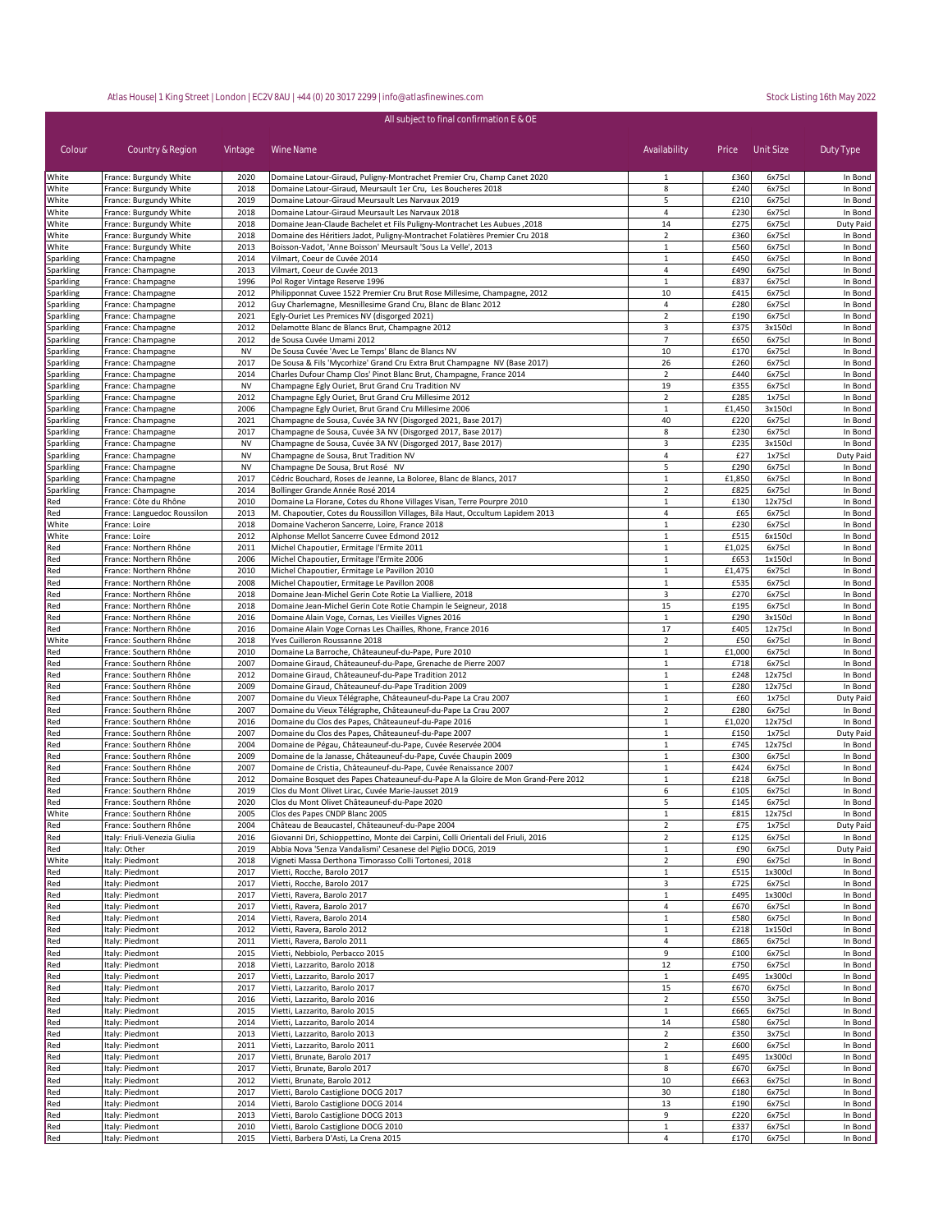| All subject to final confirmation E & OE |                                                  |              |                                                                                                                                                        |                              |              |                   |                    |
|------------------------------------------|--------------------------------------------------|--------------|--------------------------------------------------------------------------------------------------------------------------------------------------------|------------------------------|--------------|-------------------|--------------------|
| Colour                                   | Country & Region                                 | Vintage      | Wine Name                                                                                                                                              | Availability                 | Price        | Unit Size         | Duty Type          |
| White                                    | France: Burgundy White                           | 2020         | Domaine Latour-Giraud, Puligny-Montrachet Premier Cru, Champ Canet 2020                                                                                | 1                            | £360         | 6x75cl            | In Bond            |
| White                                    | France: Burgundy White                           | 2018         | Domaine Latour-Giraud, Meursault 1er Cru, Les Boucheres 2018                                                                                           | 8                            | £240         | 6x75cl            | In Bond            |
| White                                    | France: Burgundy White                           | 2019         | Domaine Latour-Giraud Meursault Les Narvaux 2019                                                                                                       | 5                            | £210         | 6x75cl            | In Bond            |
| White                                    | France: Burgundy White                           | 2018         | Domaine Latour-Giraud Meursault Les Narvaux 2018                                                                                                       | 4                            | £230         | 6x75cl            | In Bond            |
| White                                    | France: Burgundy White                           | 2018         | Domaine Jean-Claude Bachelet et Fils Puligny-Montrachet Les Aubues, 2018                                                                               | 14                           | £275         | 6x75cl            | Duty Paid          |
| White                                    | France: Burgundy White                           | 2018         | Domaine des Héritiers Jadot, Puligny-Montrachet Folatières Premier Cru 2018                                                                            | $\overline{2}$               | £360         | 6x75cl            | In Bond            |
| White                                    | France: Burgundy White                           | 2013<br>2014 | Boisson-Vadot, 'Anne Boisson' Meursault 'Sous La Velle', 2013<br>Vilmart, Coeur de Cuvée 2014                                                          | $\mathbf{1}$<br>$\mathbf{1}$ | £560<br>£450 | 6x75cl<br>6x75cl  | In Bond<br>In Bond |
| Sparkling<br>Sparkling                   | France: Champagne<br>France: Champagne           | 2013         | Vilmart, Coeur de Cuvée 2013                                                                                                                           | $\overline{a}$               | £490         | 6x75cl            | In Bond            |
| Sparkling                                | France: Champagne                                | 1996         | Pol Roger Vintage Reserve 1996                                                                                                                         | $\mathbf{1}$                 | £837         | 6x75cl            | In Bond            |
| Sparkling                                | France: Champagne                                | 2012         | Philipponnat Cuvee 1522 Premier Cru Brut Rose Millesime, Champagne, 2012                                                                               | 10                           | £415         | 6x75cl            | In Bond            |
| <b>Sparkling</b>                         | France: Champagne                                | 2012         | Guy Charlemagne, Mesnillesime Grand Cru, Blanc de Blanc 2012                                                                                           | 4                            | £280         | 6x75cl            | In Bond            |
| Sparkling                                | France: Champagne                                | 2021         | Egly-Ouriet Les Premices NV (disgorged 2021)                                                                                                           | $\overline{2}$               | £190         | 6x75cl            | In Bond            |
| Sparkling                                | France: Champagne                                | 2012         | Delamotte Blanc de Blancs Brut, Champagne 2012                                                                                                         | 3                            | £375         | 3x150cl           | In Bond            |
| Sparkling                                | France: Champagne                                | 2012         | de Sousa Cuvée Umami 2012                                                                                                                              | $\overline{7}$               | £650         | 6x75cl            | In Bond            |
| Sparkling                                | France: Champagne                                | NV           | De Sousa Cuvée 'Avec Le Temps' Blanc de Blancs NV                                                                                                      | 10                           | £170         | 6x75cl            | In Bond            |
| Sparkling                                | France: Champagne                                | 2017         | De Sousa & Fils 'Mycorhize' Grand Cru Extra Brut Champagne NV (Base 2017)                                                                              | 26                           | £260         | 6x75cl            | In Bond            |
| Sparkling                                | France: Champagne                                | 2014         | Charles Dufour Champ Clos' Pinot Blanc Brut, Champagne, France 2014                                                                                    | $\overline{2}$               | £440         | 6x75cl            | In Bond            |
| Sparkling                                | France: Champagne                                | <b>NV</b>    | Champagne Egly Ouriet, Brut Grand Cru Tradition NV                                                                                                     | 19                           | £355         | 6x75cl            | In Bond            |
| Sparkling                                | France: Champagne                                | 2012         | Champagne Egly Ouriet, Brut Grand Cru Millesime 2012                                                                                                   | $\overline{2}$               | £285         | 1x75cl            | In Bond            |
| Sparkling                                | France: Champagne                                | 2006         | Champagne Egly Ouriet, Brut Grand Cru Millesime 2006                                                                                                   | $\mathbf{1}$                 | £1,450       | 3x150cl           | In Bond            |
| Sparkling                                | France: Champagne                                | 2021         | Champagne de Sousa, Cuvée 3A NV (Disgorged 2021, Base 2017)                                                                                            | 40                           | £220         | 6x75cl            | In Bond            |
| Sparkling                                | France: Champagne                                | 2017         | Champagne de Sousa, Cuvée 3A NV (Disgorged 2017, Base 2017)                                                                                            | 8                            | £230         | 6x75cl            | In Bond            |
| Sparkling                                | France: Champagne                                | <b>NV</b>    | Champagne de Sousa, Cuvée 3A NV (Disgorged 2017, Base 2017)                                                                                            | 3                            | £235         | 3x150cl           | In Bond            |
| Sparkling                                | France: Champagne                                | <b>NV</b>    | Champagne de Sousa, Brut Tradition NV                                                                                                                  | 4                            | £27          | 1x75cl            | Duty Paid          |
| Sparkling                                | France: Champagne                                | <b>NV</b>    | Champagne De Sousa, Brut Rosé NV                                                                                                                       | 5                            | £290         | 6x75cl            | In Bond            |
| Sparkling                                | France: Champagne                                | 2017         | Cédric Bouchard, Roses de Jeanne, La Boloree, Blanc de Blancs, 2017                                                                                    | $\mathbf{1}$                 | £1,850       | 6x75cl            | In Bond            |
| Sparkling                                | France: Champagne                                | 2014         | Bollinger Grande Année Rosé 2014                                                                                                                       | $\overline{2}$               | £825         | 6x75cl            | In Bond            |
| Red<br>Red                               | France: Côte du Rhône                            | 2010<br>2013 | Domaine La Florane, Cotes du Rhone Villages Visan, Terre Pourpre 2010<br>M. Chapoutier, Cotes du Roussillon Villages, Bila Haut, Occultum Lapidem 2013 | $\mathbf{1}$<br>4            | £130<br>£65  | 12x75cl<br>6x75cl | In Bond<br>In Bond |
| White                                    | France: Languedoc Roussilon<br>France: Loire     | 2018         | Domaine Vacheron Sancerre, Loire, France 2018                                                                                                          | $\mathbf{1}$                 | £230         | 6x75cl            | In Bond            |
| White                                    | France: Loire                                    | 2012         | Alphonse Mellot Sancerre Cuvee Edmond 2012                                                                                                             | $\mathbf{1}$                 | £515         | 6x150cl           | In Bond            |
| Red                                      | France: Northern Rhône                           | 2011         | Michel Chapoutier, Ermitage l'Ermite 2011                                                                                                              | $\mathbf{1}$                 | £1,025       | 6x75cl            | In Bond            |
| Red                                      | France: Northern Rhône                           | 2006         | Michel Chapoutier, Ermitage l'Ermite 2006                                                                                                              | $\mathbf 1$                  | £653         | 1x150cl           | In Bond            |
| Red                                      | France: Northern Rhône                           | 2010         | Michel Chapoutier, Ermitage Le Pavillon 2010                                                                                                           | $\mathbf{1}$                 | £1,475       | 6x75cl            | In Bond            |
| Red                                      | France: Northern Rhône                           | 2008         | Michel Chapoutier, Ermitage Le Pavillon 2008                                                                                                           | $\mathbf 1$                  | £535         | 6x75cl            | In Bond            |
| Red                                      | France: Northern Rhône                           | 2018         | Domaine Jean-Michel Gerin Cote Rotie La Vialliere, 2018                                                                                                | 3                            | £270         | 6x75cl            | In Bond            |
| Red                                      | France: Northern Rhône                           | 2018         | Domaine Jean-Michel Gerin Cote Rotie Champin le Seigneur, 2018                                                                                         | 15                           | £195         | 6x75cl            | In Bond            |
| Red                                      | France: Northern Rhône                           | 2016         | Domaine Alain Voge, Cornas, Les Vieilles Vignes 2016                                                                                                   | $\mathbf{1}$                 | £290         | 3x150cl           | In Bond            |
| Red                                      | France: Northern Rhône                           | 2016         | Domaine Alain Voge Cornas Les Chailles, Rhone, France 2016                                                                                             | 17                           | £405         | 12x75cl           | In Bond            |
| White                                    | France: Southern Rhône                           | 2018         | Yves Cuilleron Roussanne 2018                                                                                                                          | $\overline{2}$               | £50          | 6x75cl            | In Bond            |
| Red                                      | France: Southern Rhône                           | 2010         | Domaine La Barroche, Châteauneuf-du-Pape, Pure 2010                                                                                                    | $1\,$                        | £1,000       | 6x75cl            | In Bond            |
| Red                                      | France: Southern Rhône                           | 2007         | Domaine Giraud, Châteauneuf-du-Pape, Grenache de Pierre 2007                                                                                           | $\mathbf{1}$                 | £718         | 6x75cl            | In Bond            |
| Red                                      | France: Southern Rhône                           | 2012         | Domaine Giraud, Châteauneuf-du-Pape Tradition 2012                                                                                                     | $\mathbf 1$                  | £248         | 12x75cl           | In Bond            |
| Red                                      | France: Southern Rhône                           | 2009         | Domaine Giraud, Châteauneuf-du-Pape Tradition 2009                                                                                                     | $\mathbf{1}$                 | £280         | 12x75cl           | In Bond            |
| Red                                      | France: Southern Rhône                           | 2007         | Domaine du Vieux Télégraphe, Châteauneuf-du-Pape La Crau 2007                                                                                          | $\mathbf{1}$                 | £60          | 1x75cl            | Duty Paid          |
| Red                                      | France: Southern Rhône                           | 2007         | Domaine du Vieux Télégraphe, Châteauneuf-du-Pape La Crau 2007                                                                                          | $\overline{2}$               | £280         | 6x75cl            | In Bond            |
| Red                                      | France: Southern Rhône                           | 2016         | Domaine du Clos des Papes, Châteauneuf-du-Pape 2016                                                                                                    | $\mathbf{1}$                 | £1,020       | 12x75cl           | In Bond            |
| Red                                      | France: Southern Rhône                           | 2007         | Domaine du Clos des Papes, Châteauneuf-du-Pape 2007                                                                                                    | $\mathbf{1}$                 | £150         | 1x75cl            | Duty Paid          |
| Red                                      | France: Southern Rhône                           | 2004         | Domaine de Pégau, Châteauneuf-du-Pape, Cuvée Reservée 2004                                                                                             | $\mathbf{1}$                 | £745         | 12x75cl           | In Bond            |
| Red<br>Red                               | France: Southern Rhône<br>France: Southern Rhône | 2009<br>2007 | Domaine de la Janasse, Châteauneuf-du-Pape, Cuvée Chaupin 2009<br>Domaine de Cristia, Châteauneuf-du-Pape, Cuvée Renaissance 2007                      | $\mathbf{1}$<br>$\mathbf{1}$ | £300<br>£424 | 6x75cl<br>6x75cl  | In Bond<br>In Bond |
| Red                                      | France: Southern Rhône                           | 2012         | Domaine Bosquet des Papes Chateauneuf-du-Pape A la Gloire de Mon Grand-Pere 2012                                                                       | $\mathbf{1}$                 | £218         | 6x75cl            | In Bond            |
| Red                                      | France: Southern Rhône                           | 2019         | Clos du Mont Olivet Lirac, Cuvée Marie-Jausset 2019                                                                                                    | 6                            | £105         | 6x75cl            | In Bond            |
| Red                                      | France: Southern Rhône                           | 2020         | Clos du Mont Olivet Châteauneuf-du-Pape 2020                                                                                                           | 5                            | £145         | 6x75cl            | In Bond            |
| White                                    | France: Southern Rhône                           | 2005         | Clos des Papes CNDP Blanc 2005                                                                                                                         | $\mathbf{1}$                 | £815         | 12x75cl           | In Bond            |
| Red                                      | France: Southern Rhône                           | 2004         | Château de Beaucastel, Châteauneuf-du-Pape 2004                                                                                                        | $\overline{2}$               | £75          | 1x75cl            | Duty Paid          |
| Red                                      | Italy: Friuli-Venezia Giulia                     | 2016         | Giovanni Dri, Schioppettino, Monte dei Carpini, Colli Orientali del Friuli, 2016                                                                       | $\overline{2}$               | £125         | 6x75cl            | In Bond            |
| Red                                      | Italy: Other                                     | 2019         | Abbia Nova 'Senza Vandalismi' Cesanese del Piglio DOCG, 2019                                                                                           | $1\,$                        | £90          | 6x75cl            | Duty Paid          |
| White                                    | Italy: Piedmont                                  | 2018         | Vigneti Massa Derthona Timorasso Colli Tortonesi, 2018                                                                                                 | $\overline{2}$               | £90          | 6x75cl            | In Bond            |
| Red                                      | Italy: Piedmont                                  | 2017         | Vietti, Rocche, Barolo 2017                                                                                                                            | $\mathbf 1$                  | £515         | 1x300cl           | In Bond            |
| Red                                      | Italy: Piedmont                                  | 2017         | Vietti, Rocche, Barolo 2017                                                                                                                            | 3                            | £725         | 6x75cl            | In Bond            |
| Red                                      | Italy: Piedmont                                  | 2017         | Vietti, Ravera, Barolo 2017                                                                                                                            | $\mathbf{1}$                 | £495         | 1x300cl           | In Bond            |
| Red                                      | Italy: Piedmont                                  | 2017         | Vietti, Ravera, Barolo 2017                                                                                                                            | 4                            | £670         | 6x75cl            | In Bond            |
| Red                                      | Italy: Piedmont                                  | 2014         | Vietti, Ravera, Barolo 2014                                                                                                                            | $\mathbf{1}$                 | £580         | 6x75cl            | In Bond            |
| Red                                      | Italy: Piedmont                                  | 2012         | Vietti, Ravera, Barolo 2012                                                                                                                            | $\mathbf{1}$                 | £218         | 1x150cl           | In Bond            |
| Red                                      | Italy: Piedmont                                  | 2011         | Vietti, Ravera, Barolo 2011                                                                                                                            | 4                            | £865         | 6x75cl            | In Bond            |
| Red                                      | Italy: Piedmont                                  | 2015         | Vietti, Nebbiolo, Perbacco 2015                                                                                                                        | 9                            | £100         | 6x75cl            | In Bond            |
| Red                                      | Italy: Piedmont                                  | 2018         | Vietti, Lazzarito, Barolo 2018                                                                                                                         | 12                           | £750         | 6x75cl            | In Bond            |
| Red                                      | Italy: Piedmont                                  | 2017         | Vietti, Lazzarito, Barolo 2017                                                                                                                         | $\mathbf{1}$                 | £495         | 1x300cl           | In Bond            |
| Red                                      | Italy: Piedmont                                  | 2017         | Vietti, Lazzarito, Barolo 2017                                                                                                                         | 15                           | £670         | 6x75cl            | In Bond            |
| Red                                      | Italy: Piedmont                                  | 2016         | Vietti, Lazzarito, Barolo 2016                                                                                                                         | $\overline{2}$               | £550         | 3x75cl            | In Bond            |
| Red                                      | Italy: Piedmont                                  | 2015         | Vietti, Lazzarito, Barolo 2015                                                                                                                         | $\mathbf{1}$                 | £665         | 6x75cl            | In Bond            |
| Red                                      | Italy: Piedmont                                  | 2014         | Vietti, Lazzarito, Barolo 2014                                                                                                                         | 14<br>$\overline{2}$         | £580<br>£350 | 6x75cl<br>3x75cl  | In Bond            |
| Red<br>Red                               | Italy: Piedmont<br>Italy: Piedmont               | 2013<br>2011 | Vietti, Lazzarito, Barolo 2013<br>Vietti, Lazzarito, Barolo 2011                                                                                       | $\overline{2}$               | £600         | 6x75cl            | In Bond<br>In Bond |
| Red                                      | Italy: Piedmont                                  | 2017         | Vietti, Brunate, Barolo 2017                                                                                                                           | $\mathbf{1}$                 | £495         | 1x300cl           | In Bond            |
| Red                                      | Italy: Piedmont                                  | 2017         | Vietti, Brunate, Barolo 2017                                                                                                                           | 8                            | £670         | 6x75cl            | In Bond            |
| Red                                      | Italy: Piedmont                                  | 2012         | Vietti, Brunate, Barolo 2012                                                                                                                           | 10                           | £663         | 6x75cl            | In Bond            |
| Red                                      | Italy: Piedmont                                  | 2017         | Vietti, Barolo Castiglione DOCG 2017                                                                                                                   | 30                           | £180         | 6x75cl            | In Bond            |
| Red                                      | Italy: Piedmont                                  | 2014         | Vietti, Barolo Castiglione DOCG 2014                                                                                                                   | 13                           | £190         | 6x75cl            | In Bond            |
| Red                                      | Italy: Piedmont                                  | 2013         | Vietti, Barolo Castiglione DOCG 2013                                                                                                                   | 9                            | £220         | 6x75cl            | In Bond            |
| Red                                      | Italy: Piedmont                                  | 2010         | Vietti, Barolo Castiglione DOCG 2010                                                                                                                   | $\mathbf 1$                  | £337         | 6x75cl            | In Bond            |
| Red                                      | Italy: Piedmont                                  | 2015         | Vietti, Barbera D'Asti, La Crena 2015                                                                                                                  | $\overline{4}$               | £170         | 6x75cl            | In Bond            |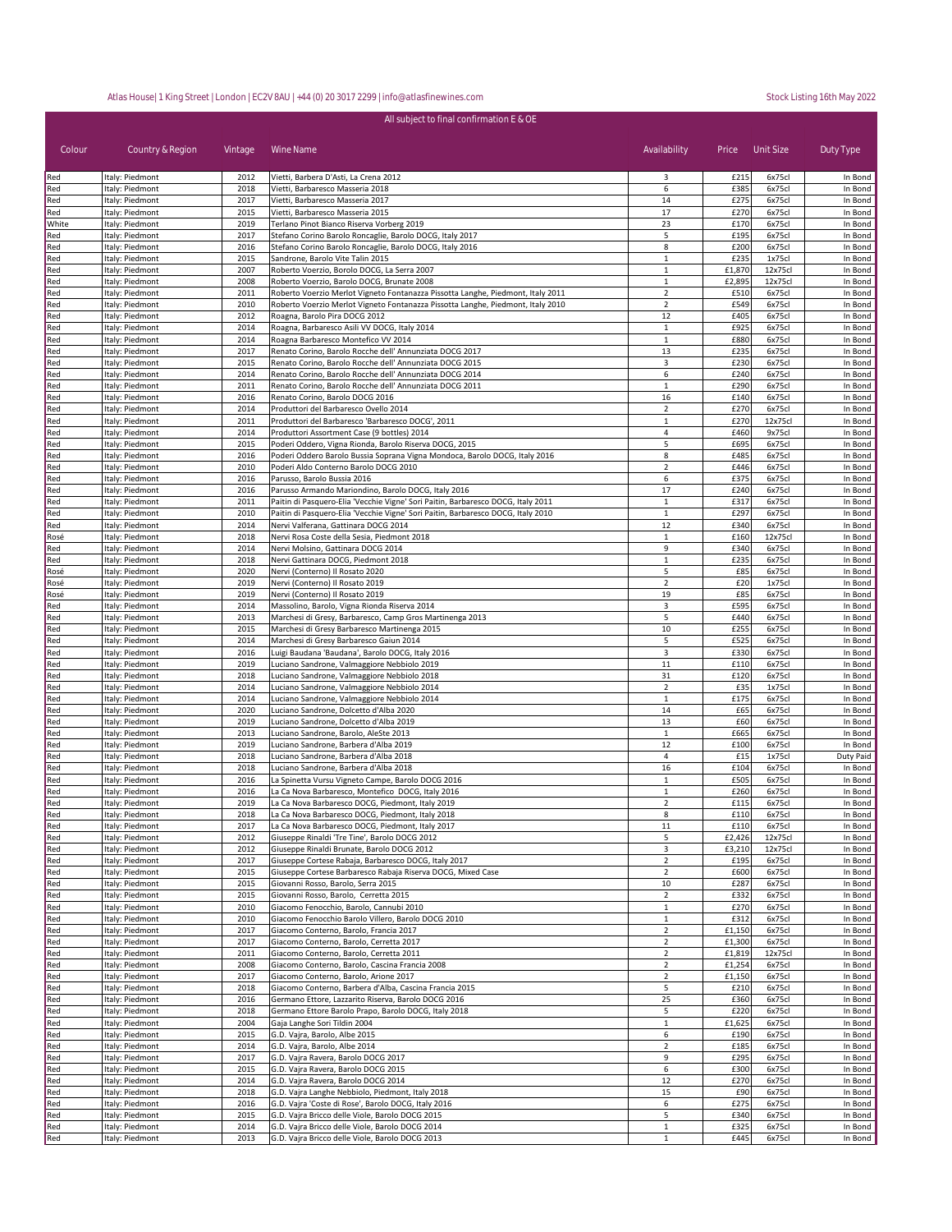| Colour     | Country & Region                   | Vintage      | Wine Name                                                                                                                     | Availability                     | Price            | Unit Size         | Duty Type          |
|------------|------------------------------------|--------------|-------------------------------------------------------------------------------------------------------------------------------|----------------------------------|------------------|-------------------|--------------------|
| Red        | Italy: Piedmont                    | 2012         | Vietti, Barbera D'Asti, La Crena 2012                                                                                         | 3                                | £215             | 6x75cl            | In Bond            |
| Red<br>Red | Italy: Piedmont<br>Italy: Piedmont | 2018<br>2017 | Vietti, Barbaresco Masseria 2018<br>Vietti, Barbaresco Masseria 2017                                                          | 6<br>14                          | £385<br>£275     | 6x75cl<br>6x75cl  | In Bond<br>In Bond |
| Red        | Italy: Piedmont                    | 2015         | Vietti, Barbaresco Masseria 2015                                                                                              | 17                               | £270             | 6x75cl            | In Bond            |
| White      | Italy: Piedmont                    | 2019         | Terlano Pinot Bianco Riserva Vorberg 2019                                                                                     | 23                               | £170             | 6x75cl            | In Bond            |
| Red        | Italy: Piedmont                    | 2017         | Stefano Corino Barolo Roncaglie, Barolo DOCG, Italy 2017                                                                      | 5                                | £195             | 6x75cl            | In Bond            |
| Red        | Italy: Piedmont                    | 2016         | Stefano Corino Barolo Roncaglie, Barolo DOCG, Italy 2016                                                                      | 8                                | £200             | 6x75cl            | In Bond            |
| Red        | Italy: Piedmont                    | 2015         | Sandrone, Barolo Vite Talin 2015                                                                                              | $\mathbf{1}$                     | £235             | 1x75cl            | In Bond            |
| Red        | Italy: Piedmont                    | 2007         | Roberto Voerzio, Borolo DOCG, La Serra 2007                                                                                   | $\mathbf{1}$                     | £1,870           | 12x75cl           | In Bond            |
| Red        | Italy: Piedmont<br>Italy: Piedmont | 2008<br>2011 | Roberto Voerzio, Barolo DOCG, Brunate 2008<br>Roberto Voerzio Merlot Vigneto Fontanazza Pissotta Langhe, Piedmont, Italy 2011 | $\mathbf{1}$<br>$\overline{2}$   | £2,895<br>£510   | 12x75cl<br>6x75cl | In Bond<br>In Bond |
| Red<br>Red | Italy: Piedmont                    | 2010         | Roberto Voerzio Merlot Vigneto Fontanazza Pissotta Langhe, Piedmont, Italy 2010                                               | $\overline{2}$                   | £549             | 6x75cl            | In Bond            |
| Red        | Italy: Piedmont                    | 2012         | Roagna, Barolo Pira DOCG 2012                                                                                                 | 12                               | £405             | 6x75cl            | In Bond            |
| Red        | Italy: Piedmont                    | 2014         | Roagna, Barbaresco Asili VV DOCG, Italy 2014                                                                                  | $\mathbf 1$                      | £925             | 6x75cl            | In Bond            |
| Red        | Italy: Piedmont                    | 2014         | Roagna Barbaresco Montefico VV 2014                                                                                           | $\mathbf{1}$                     | £880             | 6x75cl            | In Bond            |
| Red        | Italy: Piedmont                    | 2017         | Renato Corino, Barolo Rocche dell' Annunziata DOCG 2017                                                                       | 13                               | £235             | 6x75cl            | In Bond            |
| Red        | Italy: Piedmont                    | 2015         | Renato Corino, Barolo Rocche dell' Annunziata DOCG 2015                                                                       | 3                                | £230             | 6x75cl            | In Bond            |
| Red        | Italy: Piedmont                    | 2014         | Renato Corino, Barolo Rocche dell' Annunziata DOCG 2014                                                                       | 6                                | £240             | 6x75cl            | In Bond            |
| Red        | Italy: Piedmont                    | 2011         | Renato Corino, Barolo Rocche dell' Annunziata DOCG 2011                                                                       | 1                                | £290             | 6x75cl            | In Bond            |
| Red<br>Red | Italy: Piedmont                    | 2016<br>2014 | Renato Corino, Barolo DOCG 2016<br>Produttori del Barbaresco Ovello 2014                                                      | 16<br>$\overline{2}$             | £140<br>£270     | 6x75cl<br>6x75cl  | In Bond<br>In Bond |
| Red        | Italy: Piedmont<br>Italy: Piedmont | 2011         | Produttori del Barbaresco 'Barbaresco DOCG', 2011                                                                             | $\mathbf{1}$                     | £270             | 12x75cl           | In Bond            |
| Red        | Italy: Piedmont                    | 2014         | Produttori Assortment Case (9 bottles) 2014                                                                                   | 4                                | £460             | 9x75cl            | In Bond            |
| Red        | Italy: Piedmont                    | 2015         | Poderi Oddero, Vigna Rionda, Barolo Riserva DOCG, 2015                                                                        | 5                                | £695             | 6x75cl            | In Bond            |
| Red        | Italy: Piedmont                    | 2016         | Poderi Oddero Barolo Bussia Soprana Vigna Mondoca, Barolo DOCG, Italy 2016                                                    | 8                                | £485             | 6x75cl            | In Bond            |
| Red        | Italy: Piedmont                    | 2010         | Poderi Aldo Conterno Barolo DOCG 2010                                                                                         | $\mathbf 2$                      | £446             | 6x75cl            | In Bond            |
| Red        | Italy: Piedmont                    | 2016         | Parusso, Barolo Bussia 2016                                                                                                   | 6                                | £375             | 6x75cl            | In Bond            |
| Red        | Italy: Piedmont                    | 2016         | Parusso Armando Mariondino, Barolo DOCG, Italy 2016                                                                           | 17                               | £240             | 6x75cl            | In Bond            |
| Red        | Italy: Piedmont                    | 2011         | Paitin di Pasquero-Elia 'Vecchie Vigne' Sori Paitin, Barbaresco DOCG, Italy 2011                                              | $\mathbf{1}$                     | £317             | 6x75cl            | In Bond            |
| Red<br>Red | Italy: Piedmont<br>Italy: Piedmont | 2010<br>2014 | Paitin di Pasquero-Elia 'Vecchie Vigne' Sori Paitin, Barbaresco DOCG, Italy 2010<br>Nervi Valferana, Gattinara DOCG 2014      | $\mathbf 1$<br>12                | £297<br>£340     | 6x75cl<br>6x75cl  | In Bond<br>In Bond |
| Rosé       | Italy: Piedmont                    | 2018         | Nervi Rosa Coste della Sesia, Piedmont 2018                                                                                   | $\mathbf{1}$                     | £160             | 12x75cl           | In Bond            |
| Red        | Italy: Piedmont                    | 2014         | Nervi Molsino, Gattinara DOCG 2014                                                                                            | 9                                | £340             | 6x75cl            | In Bond            |
| Red        | Italy: Piedmont                    | 2018         | Nervi Gattinara DOCG, Piedmont 2018                                                                                           | $\mathbf{1}$                     | £235             | 6x75cl            | In Bond            |
| Rosé       | Italy: Piedmont                    | 2020         | Nervi (Conterno) Il Rosato 2020                                                                                               | 5                                | £85              | 6x75cl            | In Bond            |
| Rosé       | Italy: Piedmont                    | 2019         | Nervi (Conterno) Il Rosato 2019                                                                                               | $\overline{2}$                   | £20              | 1x75cl            | In Bond            |
| Rosé       | Italy: Piedmont                    | 2019         | Nervi (Conterno) Il Rosato 2019                                                                                               | 19                               | £85              | 6x75cl            | In Bond            |
| Red        | Italy: Piedmont                    | 2014         | Massolino, Barolo, Vigna Rionda Riserva 2014                                                                                  | 3                                | £595             | 6x75cl            | In Bond            |
| Red        | Italy: Piedmont                    | 2013         | Marchesi di Gresy, Barbaresco, Camp Gros Martinenga 2013                                                                      | 5                                | £440             | 6x75cl            | In Bond            |
| Red<br>Red | Italy: Piedmont<br>Italy: Piedmont | 2015<br>2014 | Marchesi di Gresy Barbaresco Martinenga 2015<br>Marchesi di Gresy Barbaresco Gaiun 2014                                       | 10<br>5                          | £255<br>£525     | 6x75cl<br>6x75cl  | In Bond<br>In Bond |
| Red        | Italy: Piedmont                    | 2016         | Luigi Baudana 'Baudana', Barolo DOCG, Italy 2016                                                                              | 3                                | £330             | 6x75cl            | In Bond            |
| Red        | Italy: Piedmont                    | 2019         | Luciano Sandrone, Valmaggiore Nebbiolo 2019                                                                                   | 11                               | £110             | 6x75cl            | In Bond            |
| Red        | Italy: Piedmont                    | 2018         | Luciano Sandrone, Valmaggiore Nebbiolo 2018                                                                                   | 31                               | £120             | 6x75cl            | In Bond            |
| Red        | Italy: Piedmont                    | 2014         | Luciano Sandrone, Valmaggiore Nebbiolo 2014                                                                                   | $\overline{2}$                   | £35              | 1x75cl            | In Bond            |
| Red        | Italy: Piedmont                    | 2014         | Luciano Sandrone, Valmaggiore Nebbiolo 2014                                                                                   | $\mathbf{1}$                     | £175             | 6x75cl            | In Bond            |
| Red        | Italy: Piedmont                    | 2020         | Luciano Sandrone, Dolcetto d'Alba 2020                                                                                        | 14                               | £65              | 6x75cl            | In Bond            |
| Red        | Italy: Piedmont                    | 2019         | Luciano Sandrone, Dolcetto d'Alba 2019                                                                                        | 13                               | £60              | 6x75cl            | In Bond            |
| Red        | Italy: Piedmont                    | 2013<br>2019 | Luciano Sandrone, Barolo, AleSte 2013<br>Luciano Sandrone, Barbera d'Alba 2019                                                | $\mathbf{1}$<br>12               | £665<br>£100     | 6x75cl<br>6x75cl  | In Bond<br>In Bond |
| Red<br>Red | Italy: Piedmont<br>Italy: Piedmont | 2018         | Luciano Sandrone, Barbera d'Alba 2018                                                                                         | 4                                | £15              | 1x75cl            | Duty Paid          |
| Red        | Italy: Piedmont                    | 2018         | Luciano Sandrone, Barbera d'Alba 2018                                                                                         | 16                               | £104             | 6x75cl            | In Bond            |
| Red        | Italy: Piedmont                    | 2016         | La Spinetta Vursu Vigneto Campe, Barolo DOCG 2016                                                                             | $\mathbf{1}$                     | £505             | 6x75cl            | In Bond            |
| Red        | Italy: Piedmont                    | 2016         | La Ca Nova Barbaresco, Montefico DOCG, Italy 2016                                                                             | $\mathbf{1}$                     | £260             | 6x75cl            | In Bond            |
| Red        | Italy: Piedmont                    | 2019         | La Ca Nova Barbaresco DOCG, Piedmont, Italy 2019                                                                              | $\overline{2}$                   | £115             | 6x75cl            | In Bond            |
| Red        | Italy: Piedmont                    | 2018         | La Ca Nova Barbaresco DOCG, Piedmont, Italy 2018                                                                              | 8                                | £110             | 6x75cl            | In Bond            |
| Red        | Italy: Piedmont                    | 2017         | La Ca Nova Barbaresco DOCG, Piedmont, Italy 2017                                                                              | 11                               | £110             | 6x75cl            | In Bond            |
| Red        | Italy: Piedmont                    | 2012         | Giuseppe Rinaldi 'Tre Tine', Barolo DOCG 2012                                                                                 | 5                                | £2,426           | 12x75cl           | In Bond            |
| Red<br>Red | Italy: Piedmont<br>Italy: Piedmont | 2012<br>2017 | Giuseppe Rinaldi Brunate, Barolo DOCG 2012<br>Giuseppe Cortese Rabaja, Barbaresco DOCG, Italy 2017                            | 3<br>$\overline{2}$              | £3,210<br>£195   | 12x75cl<br>6x75cl | In Bond<br>In Bond |
| Red        | Italy: Piedmont                    | 2015         | Giuseppe Cortese Barbaresco Rabaja Riserva DOCG, Mixed Case                                                                   | $\overline{2}$                   | £600             | 6x75cl            | In Bond            |
| Red        | Italy: Piedmont                    | 2015         | Giovanni Rosso, Barolo, Serra 2015                                                                                            | 10                               | £287             | 6x75cl            | In Bond            |
| Red        | Italy: Piedmont                    | 2015         | Giovanni Rosso, Barolo, Cerretta 2015                                                                                         | $\overline{2}$                   | £332             | 6x75cl            | In Bond            |
| Red        | Italy: Piedmont                    | 2010         | Giacomo Fenocchio, Barolo, Cannubi 2010                                                                                       | $\mathbf{1}$                     | £270             | 6x75cl            | In Bond            |
| Red        | Italy: Piedmont                    | 2010         | Giacomo Fenocchio Barolo Villero, Barolo DOCG 2010                                                                            | $\mathbf{1}$                     | £312             | 6x75cl            | In Bond            |
| Red        | Italy: Piedmont                    | 2017         | Giacomo Conterno, Barolo, Francia 2017                                                                                        | $\overline{2}$                   | £1,150           | 6x75cl            | In Bond            |
| Red        | Italy: Piedmont                    | 2017         | Giacomo Conterno, Barolo, Cerretta 2017                                                                                       | $\overline{2}$                   | £1,300           | 6x75cl            | In Bond            |
| Red        | Italy: Piedmont                    | 2011         | Giacomo Conterno, Barolo, Cerretta 2011                                                                                       | $\overline{2}$                   | £1,819           | 12x75cl           | In Bond            |
| Red<br>Red | Italy: Piedmont                    | 2008<br>2017 | Giacomo Conterno, Barolo, Cascina Francia 2008<br>Giacomo Conterno, Barolo, Arione 2017                                       | $\overline{2}$<br>$\overline{2}$ | £1,254<br>£1,150 | 6x75cl<br>6x75cl  | In Bond<br>In Bond |
| Red        | Italy: Piedmont<br>Italy: Piedmont | 2018         | Giacomo Conterno, Barbera d'Alba, Cascina Francia 2015                                                                        | 5                                | £210             | 6x75cl            | In Bond            |
| Red        | Italy: Piedmont                    | 2016         | Germano Ettore, Lazzarito Riserva, Barolo DOCG 2016                                                                           | 25                               | £360             | 6x75cl            | In Bond            |
| Red        | Italy: Piedmont                    | 2018         | Germano Ettore Barolo Prapo, Barolo DOCG, Italy 2018                                                                          | 5                                | £220             | 6x75cl            | In Bond            |
| Red        | Italy: Piedmont                    | 2004         | Gaja Langhe Sori Tildin 2004                                                                                                  | $\mathbf{1}$                     | £1,625           | 6x75cl            | In Bond            |
| Red        | Italy: Piedmont                    | 2015         | G.D. Vajra, Barolo, Albe 2015                                                                                                 | 6                                | £190             | 6x75cl            | In Bond            |
| Red        | Italy: Piedmont                    | 2014         | G.D. Vajra, Barolo, Albe 2014                                                                                                 | $\overline{2}$                   | £185             | 6x75cl            | In Bond            |
| Red        | Italy: Piedmont                    | 2017         | G.D. Vajra Ravera, Barolo DOCG 2017                                                                                           | 9                                | £295             | 6x75cl            | In Bond            |
| Red        | Italy: Piedmont                    | 2015         | G.D. Vajra Ravera, Barolo DOCG 2015                                                                                           | 6                                | £300             | 6x75cl            | In Bond            |
| Red        | Italy: Piedmont                    | 2014         | G.D. Vajra Ravera, Barolo DOCG 2014                                                                                           | 12                               | £270             | 6x75cl            | In Bond            |
| Red<br>Red | Italy: Piedmont<br>Italy: Piedmont | 2018<br>2016 | G.D. Vajra Langhe Nebbiolo, Piedmont, Italy 2018<br>G.D. Vajra 'Coste di Rose', Barolo DOCG, Italy 2016                       | 15<br>6                          | £90<br>£275      | 6x75cl<br>6x75cl  | In Bond<br>In Bond |
| Red        | Italy: Piedmont                    | 2015         | G.D. Vajra Bricco delle Viole, Barolo DOCG 2015                                                                               | 5                                | £340             | 6x75cl            | In Bond            |
| Red        | Italy: Piedmont                    | 2014         | G.D. Vajra Bricco delle Viole, Barolo DOCG 2014                                                                               | $\mathbf{1}$                     | £325             | 6x75cl            | In Bond            |
| Red        | Italy: Piedmont                    | 2013         | G.D. Vajra Bricco delle Viole, Barolo DOCG 2013                                                                               | $\mathbf{1}$                     | £445             | 6x75cl            | In Bond            |

All subject to final confirmation E & OE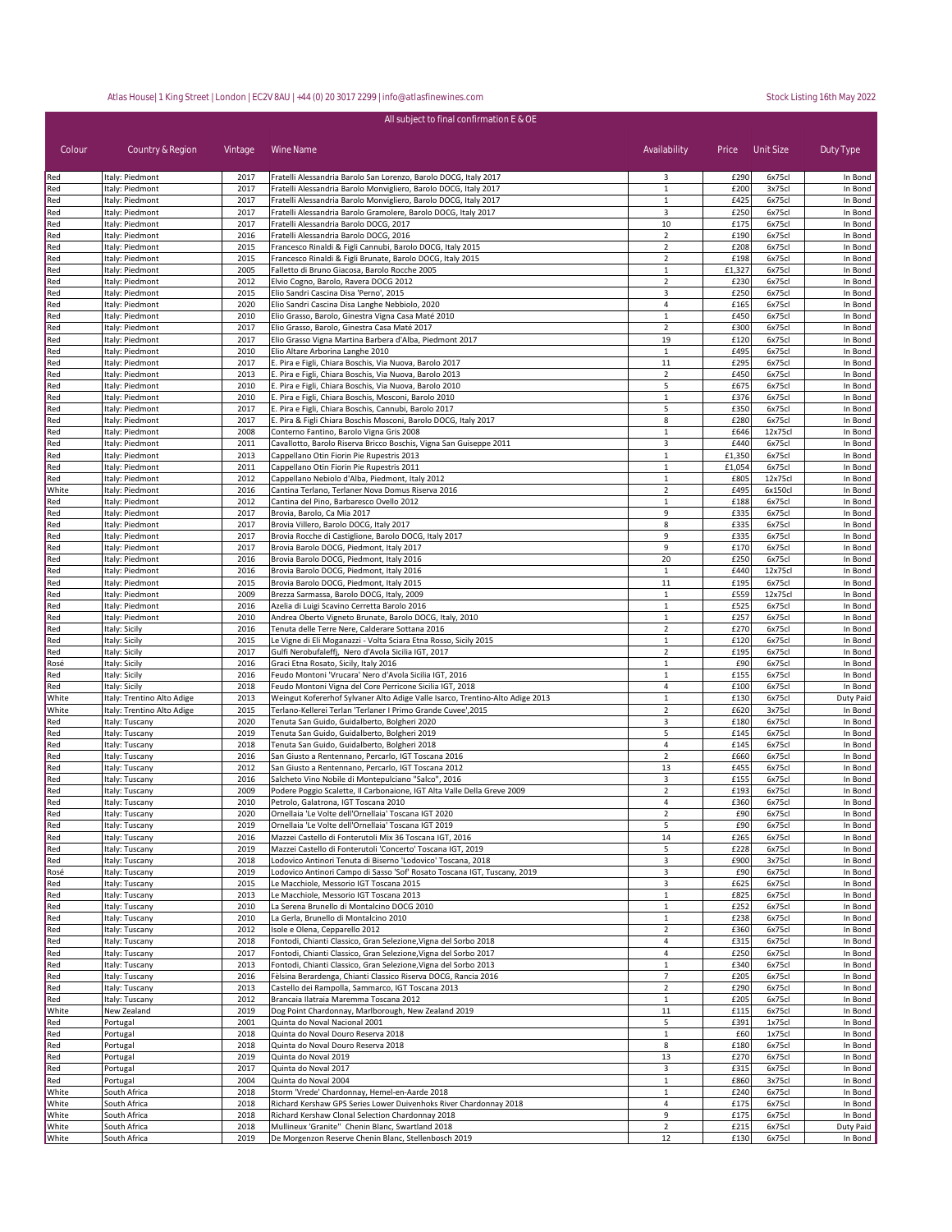| All subject to final confirmation E & OE |                                                          |              |                                                                                                                                               |                                |              |                  |                      |  |
|------------------------------------------|----------------------------------------------------------|--------------|-----------------------------------------------------------------------------------------------------------------------------------------------|--------------------------------|--------------|------------------|----------------------|--|
| Colour                                   | Country & Region                                         | Vintage      | Wine Name                                                                                                                                     | Availability                   | Price        | Unit Size        | Duty Type            |  |
| Red                                      | Italy: Piedmont                                          | 2017         | Fratelli Alessandria Barolo San Lorenzo, Barolo DOCG, Italy 2017                                                                              | 3                              | £290         | 6x75cl           | In Bond              |  |
| Red                                      | Italy: Piedmont                                          | 2017         | Fratelli Alessandria Barolo Monvigliero, Barolo DOCG, Italy 2017                                                                              | $\mathbf{1}$                   | £200         | 3x75cl           | In Bond              |  |
| Red                                      | Italy: Piedmont                                          | 2017         | Fratelli Alessandria Barolo Monvigliero, Barolo DOCG, Italy 2017                                                                              | $\mathbf{1}$                   | £425         | 6x75cl<br>6x75cl | In Bond<br>In Bond   |  |
| Red<br>Red                               | Italy: Piedmont<br>Italy: Piedmont                       | 2017<br>2017 | Fratelli Alessandria Barolo Gramolere, Barolo DOCG, Italy 2017<br>Fratelli Alessandria Barolo DOCG, 2017                                      | 3<br>10                        | £250<br>£175 | 6x75cl           | In Bond              |  |
| Red                                      | Italy: Piedmont                                          | 2016         | Fratelli Alessandria Barolo DOCG, 2016                                                                                                        | $\overline{2}$                 | £190         | 6x75cl           | In Bond              |  |
| Red                                      | Italy: Piedmont                                          | 2015         | Francesco Rinaldi & Figli Cannubi, Barolo DOCG, Italy 2015                                                                                    | $\overline{2}$                 | £208         | 6x75cl           | In Bond              |  |
| Red                                      | Italy: Piedmont                                          | 2015         | Francesco Rinaldi & Figli Brunate, Barolo DOCG, Italy 2015                                                                                    | $\overline{2}$                 | £198         | 6x75cl           | In Bond              |  |
| Red                                      | Italy: Piedmont                                          | 2005         | Falletto di Bruno Giacosa, Barolo Rocche 2005                                                                                                 | $\mathbf{1}$                   | £1,327       | 6x75cl           | In Bond              |  |
| Red                                      | Italy: Piedmont                                          | 2012         | Elvio Cogno, Barolo, Ravera DOCG 2012                                                                                                         | $\mathbf 2$                    | £230         | 6x75cl           | In Bond              |  |
| Red                                      | Italy: Piedmont                                          | 2015         | Elio Sandri Cascina Disa 'Perno', 2015                                                                                                        | 3                              | £250         | 6x75cl           | In Bond              |  |
| Red                                      | Italy: Piedmont                                          | 2020<br>2010 | Elio Sandri Cascina Disa Langhe Nebbiolo, 2020<br>Elio Grasso, Barolo, Ginestra Vigna Casa Maté 2010                                          | 4<br>1                         | £165<br>£450 | 6x75cl<br>6x75cl | In Bond<br>In Bond   |  |
| Red<br>Red                               | Italy: Piedmont<br>Italy: Piedmont                       | 2017         | Elio Grasso, Barolo, Ginestra Casa Maté 2017                                                                                                  | $\overline{2}$                 | £300         | 6x75cl           | In Bond              |  |
| Red                                      | Italy: Piedmont                                          | 2017         | Elio Grasso Vigna Martina Barbera d'Alba, Piedmont 2017                                                                                       | 19                             | £120         | 6x75cl           | In Bond              |  |
| Red                                      | Italy: Piedmont                                          | 2010         | Elio Altare Arborina Langhe 2010                                                                                                              | $\mathbf{1}$                   | £495         | 6x75cl           | In Bond              |  |
| Red                                      | Italy: Piedmont                                          | 2017         | E. Pira e Figli, Chiara Boschis, Via Nuova, Barolo 2017                                                                                       | 11                             | £295         | 6x75cl           | In Bond              |  |
| Red                                      | Italy: Piedmont                                          | 2013         | E. Pira e Figli, Chiara Boschis, Via Nuova, Barolo 2013                                                                                       | $\overline{2}$                 | £450         | 6x75cl           | In Bond              |  |
| Red                                      | Italy: Piedmont                                          | 2010         | E. Pira e Figli, Chiara Boschis, Via Nuova, Barolo 2010                                                                                       | 5                              | £675         | 6x75cl           | In Bond              |  |
| Red                                      | Italy: Piedmont                                          | 2010         | E. Pira e Figli, Chiara Boschis, Mosconi, Barolo 2010                                                                                         | $\mathbf{1}$                   | £376         | 6x75cl<br>6x75c  | In Bond              |  |
| Red<br>Red                               | Italy: Piedmont<br>Italy: Piedmont                       | 2017<br>2017 | E. Pira e Figli, Chiara Boschis, Cannubi, Barolo 2017<br>E. Pira & Figli Chiara Boschis Mosconi, Barolo DOCG, Italy 2017                      | 5<br>8                         | £350<br>£280 | 6x75cl           | In Bond<br>In Bond   |  |
| Red                                      | Italy: Piedmont                                          | 2008         | Conterno Fantino, Barolo Vigna Gris 2008                                                                                                      | $\mathbf{1}$                   | £646         | 12x75cl          | In Bond              |  |
| Red                                      | Italy: Piedmont                                          | 2011         | Cavallotto, Barolo Riserva Bricco Boschis, Vigna San Guiseppe 2011                                                                            | 3                              | £440         | 6x75cl           | In Bond              |  |
| Red                                      | Italy: Piedmont                                          | 2013         | Cappellano Otin Fiorin Pie Rupestris 2013                                                                                                     | $\mathbf{1}$                   | £1,350       | 6x75cl           | In Bond              |  |
| Red                                      | Italy: Piedmont                                          | 2011         | Cappellano Otin Fiorin Pie Rupestris 2011                                                                                                     | $\mathbf{1}$                   | £1,054       | 6x75cl           | In Bond              |  |
| Red                                      | Italy: Piedmont                                          | 2012         | Cappellano Nebiolo d'Alba, Piedmont, Italy 2012                                                                                               | $\mathbf{1}$                   | £805         | 12x75cl          | In Bond              |  |
| White                                    | Italy: Piedmont                                          | 2016         | Cantina Terlano, Terlaner Nova Domus Riserva 2016                                                                                             | $\overline{2}$                 | £495         | 6x150cl          | In Bond              |  |
| Red                                      | Italy: Piedmont                                          | 2012<br>2017 | Cantina del Pino, Barbaresco Ovello 2012                                                                                                      | $\mathbf{1}$<br>9              | £188<br>£335 | 6x75cl           | In Bond              |  |
| Red<br>Red                               | Italy: Piedmont<br>Italy: Piedmont                       | 2017         | Brovia, Barolo, Ca Mia 2017<br>Brovia Villero, Barolo DOCG, Italy 2017                                                                        | 8                              | £335         | 6x75cl<br>6x75cl | In Bond<br>In Bond   |  |
| Red                                      | Italy: Piedmont                                          | 2017         | Brovia Rocche di Castiglione, Barolo DOCG, Italy 2017                                                                                         | 9                              | £335         | 6x75cl           | In Bond              |  |
| Red                                      | Italy: Piedmont                                          | 2017         | Brovia Barolo DOCG, Piedmont, Italy 2017                                                                                                      | 9                              | £170         | 6x75cl           | In Bond              |  |
| Red                                      | Italy: Piedmont                                          | 2016         | Brovia Barolo DOCG, Piedmont, Italy 2016                                                                                                      | 20                             | £250         | 6x75cl           | In Bond              |  |
| Red                                      | Italy: Piedmont                                          | 2016         | Brovia Barolo DOCG, Piedmont, Italy 2016                                                                                                      | $\mathbf 1$                    | £440         | 12x75cl          | In Bond              |  |
| Red                                      | Italy: Piedmont                                          | 2015         | Brovia Barolo DOCG, Piedmont, Italy 2015                                                                                                      | 11                             | £195         | 6x75cl           | In Bond              |  |
| Red                                      | Italy: Piedmont                                          | 2009         | Brezza Sarmassa, Barolo DOCG, Italy, 2009                                                                                                     | $\mathbf{1}$                   | £559         | 12x75cl          | In Bond              |  |
| Red<br>Red                               | Italy: Piedmont<br>Italy: Piedmont                       | 2016<br>2010 | Azelia di Luigi Scavino Cerretta Barolo 2016<br>Andrea Oberto Vigneto Brunate, Barolo DOCG, Italy, 2010                                       | 1<br>$\mathbf{1}$              | £525<br>£257 | 6x75cl<br>6x75cl | In Bond<br>In Bond   |  |
| Red                                      | Italy: Sicily                                            | 2016         | Tenuta delle Terre Nere, Calderare Sottana 2016                                                                                               | $\overline{2}$                 | £270         | 6x75cl           | In Bond              |  |
| Red                                      | Italy: Sicily                                            | 2015         | Le Vigne di Eli Moganazzi - Volta Sciara Etna Rosso, Sicily 2015                                                                              | $\mathbf{1}$                   | £120         | 6x75cl           | In Bond              |  |
| Red                                      | Italy: Sicily                                            | 2017         | Gulfi Nerobufaleffj, Nero d'Avola Sicilia IGT, 2017                                                                                           | $\mathbf 2$                    | £195         | 6x75cl           | In Bond              |  |
| Rosé                                     | Italy: Sicily                                            | 2016         | Graci Etna Rosato, Sicily, Italy 2016                                                                                                         | $\mathbf{1}$                   | £90          | 6x75cl           | In Bond              |  |
| Red                                      | Italy: Sicily                                            | 2016         | Feudo Montoni 'Vrucara' Nero d'Avola Sicilia IGT, 2016                                                                                        | $\mathbf{1}$                   | £155         | 6x75cl           | In Bond              |  |
| Red                                      | Italy: Sicily                                            | 2018         | Feudo Montoni Vigna del Core Perricone Sicilia IGT, 2018                                                                                      | $\overline{4}$                 | £100         | 6x75cl           | In Bond              |  |
| White<br>White                           | Italy: Trentino Alto Adige<br>Italy: Trentino Alto Adige | 2013<br>2015 | Weingut Kofererhof Sylvaner Alto Adige Valle Isarco, Trentino-Alto Adige 2013<br>Terlano-Kellerei Terlan 'Terlaner I Primo Grande Cuvee',2015 | $\mathbf{1}$<br>$\overline{2}$ | £130<br>£620 | 6x75c<br>3x75cl  | Duty Paid<br>In Bond |  |
| Red                                      | Italy: Tuscany                                           | 2020         | Tenuta San Guido, Guidalberto, Bolgheri 2020                                                                                                  | 3                              | £180         | 6x75cl           | In Bond              |  |
| Red                                      | Italy: Tuscany                                           | 2019         | Tenuta San Guido, Guidalberto, Bolgheri 2019                                                                                                  | 5                              | £145         | 6x75cl           | In Bond              |  |
| Red                                      | Italy: Tuscany                                           | 2018         | Tenuta San Guido, Guidalberto, Bolgheri 2018                                                                                                  | 4                              | £145         | 6x75cl           | In Bond              |  |
| Red                                      | Italy: Tuscany                                           | 2016         | San Giusto a Rentennano, Percarlo, IGT Toscana 2016                                                                                           | $\overline{2}$                 | £660         | 6x75cl           | In Bond              |  |
| Red                                      | Italy: Tuscany                                           | 2012         | San Giusto a Rentennano, Percarlo, IGT Toscana 2012                                                                                           | 13                             | £455         | 6x75cl           | In Bond              |  |
| Red                                      | Italy: Tuscany                                           | 2016         | Salcheto Vino Nobile di Montepulciano "Salco", 2016                                                                                           | 3                              | £155         | 6x75cl           | In Bond              |  |
| Red<br>Red                               | Italy: Tuscany<br>Italy: Tuscany                         | 2009<br>2010 | Podere Poggio Scalette, Il Carbonaione, IGT Alta Valle Della Greve 2009<br>Petrolo, Galatrona, IGT Toscana 2010                               | $\overline{2}$<br>4            | £193<br>£360 | 6x75cl<br>6x75cl | In Bond<br>In Bond   |  |
| Red                                      | Italy: Tuscany                                           | 2020         | Ornellaia 'Le Volte dell'Ornellaia' Toscana IGT 2020                                                                                          | $\overline{2}$                 | £90          | 6x75cl           | In Bond              |  |
| Red                                      | Italy: Tuscany                                           | 2019         | Ornellaia 'Le Volte dell'Ornellaia' Toscana IGT 2019                                                                                          | 5                              | £90          | 6x75cl           | In Bond              |  |
| Red                                      | Italy: Tuscany                                           | 2016         | Mazzei Castello di Fonterutoli Mix 36 Toscana IGT, 2016                                                                                       | 14                             | £265         | 6x75cl           | In Bond              |  |
| Red                                      | Italy: Tuscany                                           | 2019         | Mazzei Castello di Fonterutoli 'Concerto' Toscana IGT, 2019                                                                                   | 5                              | £228         | 6x75cl           | In Bond              |  |
| Red                                      | Italy: Tuscany                                           | 2018         | Lodovico Antinori Tenuta di Biserno 'Lodovico' Toscana, 2018                                                                                  | 3                              | £900         | 3x75cl           | In Bond              |  |
| Rosé                                     | Italy: Tuscany                                           | 2019         | Lodovico Antinori Campo di Sasso 'Sof' Rosato Toscana IGT, Tuscany, 2019                                                                      | 3                              | £90          | 6x75cl           | In Bond              |  |
| Red                                      | Italy: Tuscany                                           | 2015         | Le Macchiole, Messorio IGT Toscana 2015                                                                                                       | 3                              | £625         | 6x75cl           | In Bond              |  |
| Red<br>Red                               | Italy: Tuscany<br>Italy: Tuscany                         | 2013<br>2010 | Le Macchiole, Messorio IGT Toscana 2013<br>La Serena Brunello di Montalcino DOCG 2010                                                         | $\mathbf{1}$<br>$\mathbf{1}$   | £825<br>£252 | 6x75cl<br>6x75cl | In Bond<br>In Bond   |  |
| Red                                      | Italy: Tuscany                                           | 2010         | La Gerla, Brunello di Montalcino 2010                                                                                                         | $\mathbf{1}$                   | £238         | 6x75cl           | In Bond              |  |
| Red                                      | Italy: Tuscany                                           | 2012         | Isole e Olena, Cepparello 2012                                                                                                                | $\overline{2}$                 | £360         | 6x75cl           | In Bond              |  |
| Red                                      | Italy: Tuscany                                           | 2018         | Fontodi, Chianti Classico, Gran Selezione, Vigna del Sorbo 2018                                                                               | 4                              | £315         | 6x75cl           | In Bond              |  |
| Red                                      | Italy: Tuscany                                           | 2017         | Fontodi, Chianti Classico, Gran Selezione, Vigna del Sorbo 2017                                                                               | $\overline{a}$                 | £250         | 6x75cl           | In Bond              |  |
| Red                                      | Italy: Tuscany                                           | 2013         | Fontodi, Chianti Classico, Gran Selezione, Vigna del Sorbo 2013                                                                               | $\mathbf{1}$                   | £340         | 6x75cl           | In Bond              |  |
| Red                                      | Italy: Tuscany                                           | 2016         | Fèlsina Berardenga, Chianti Classico Riserva DOCG, Rancia 2016                                                                                | $\overline{7}$                 | £205         | 6x75cl           | In Bond              |  |
| Red                                      | Italy: Tuscany                                           | 2013         | Castello dei Rampolla, Sammarco, IGT Toscana 2013                                                                                             | $\overline{2}$                 | £290         | 6x75cl           | In Bond              |  |
| Red<br>White                             | Italy: Tuscany<br>New Zealand                            | 2012<br>2019 | Brancaia Ilatraia Maremma Toscana 2012<br>Dog Point Chardonnay, Marlborough, New Zealand 2019                                                 | $\mathbf{1}$<br>11             | £205<br>£115 | 6x75cl<br>6x75cl | In Bond<br>In Bond   |  |
| Red                                      | Portugal                                                 | 2001         | Quinta do Noval Nacional 2001                                                                                                                 | 5                              | £391         | 1x75cl           | In Bond              |  |
| Red                                      | Portugal                                                 | 2018         | Quinta do Noval Douro Reserva 2018                                                                                                            | $\mathbf{1}$                   | £60          | 1x75cl           | In Bond              |  |
| Red                                      | Portugal                                                 | 2018         | Quinta do Noval Douro Reserva 2018                                                                                                            | 8                              | £180         | 6x75cl           | In Bond              |  |
| Red                                      | Portugal                                                 | 2019         | Quinta do Noval 2019                                                                                                                          | 13                             | £270         | 6x75cl           | In Bond              |  |
| Red                                      | Portugal                                                 | 2017         | Quinta do Noval 2017                                                                                                                          | 3                              | £315         | 6x75cl           | In Bond              |  |
| Red                                      | Portugal                                                 | 2004         | Quinta do Noval 2004                                                                                                                          | $\mathbf{1}$                   | £860         | 3x75cl           | In Bond              |  |
| White                                    | South Africa                                             | 2018         | Storm 'Vrede' Chardonnay, Hemel-en-Aarde 2018                                                                                                 | $\mathbf{1}$                   | £240         | 6x75cl           | In Bond              |  |
| White                                    | South Africa                                             | 2018         | Richard Kershaw GPS Series Lower Duivenhoks River Chardonnay 2018                                                                             | 4                              | £175         | 6x75cl           | In Bond              |  |
| White<br>White                           | South Africa<br>South Africa                             | 2018<br>2018 | Richard Kershaw Clonal Selection Chardonnay 2018<br>Mullineux 'Granite" Chenin Blanc, Swartland 2018                                          | 9<br>$\overline{2}$            | £175<br>£215 | 6x75cl<br>6x75cl | In Bond<br>Duty Paid |  |
| White                                    | South Africa                                             | 2019         | De Morgenzon Reserve Chenin Blanc, Stellenbosch 2019                                                                                          | 12                             | £130         | 6x75cl           | In Bond              |  |